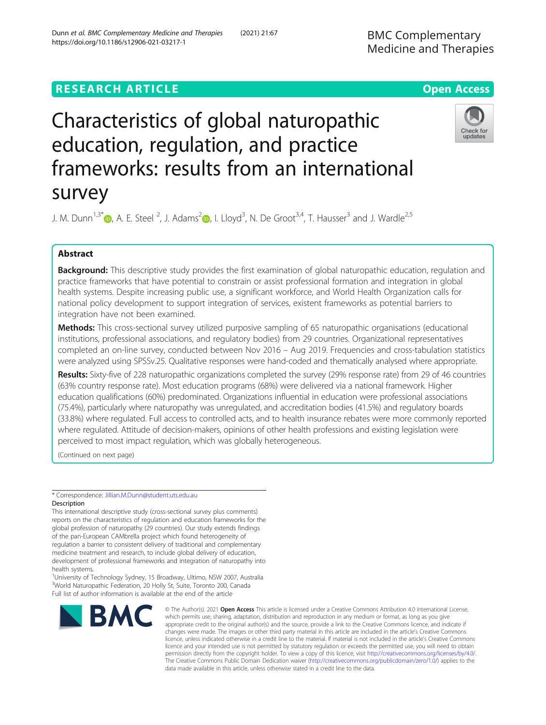# **RESEARCH ARTICLE Example 2014 12:30 The Contract of Contract ACCESS**

# Characteristics of global naturopathic education, regulation, and practice frameworks: results from an international survey

J. M. Dunn<sup>1,3[\\*](http://orcid.org/0000-0002-8766-2685)</sup> $\bullet$ , A. E. Steel <sup>[2](https://orcid.org/0000-0002-9901-5717)</sup>, J. Adams<sup>2</sup> $\bullet$ , I. Lloyd<sup>3</sup>, N. De Groot<sup>3,4</sup>, T. Hausser<sup>3</sup> and J. Wardle<sup>2,5</sup>

# Abstract

Background: This descriptive study provides the first examination of global naturopathic education, regulation and practice frameworks that have potential to constrain or assist professional formation and integration in global health systems. Despite increasing public use, a significant workforce, and World Health Organization calls for national policy development to support integration of services, existent frameworks as potential barriers to integration have not been examined.

Methods: This cross-sectional survey utilized purposive sampling of 65 naturopathic organisations (educational institutions, professional associations, and regulatory bodies) from 29 countries. Organizational representatives completed an on-line survey, conducted between Nov 2016 – Aug 2019. Frequencies and cross-tabulation statistics were analyzed using SPSSv.25. Qualitative responses were hand-coded and thematically analysed where appropriate.

Results: Sixty-five of 228 naturopathic organizations completed the survey (29% response rate) from 29 of 46 countries (63% country response rate). Most education programs (68%) were delivered via a national framework. Higher education qualifications (60%) predominated. Organizations influential in education were professional associations (75.4%), particularly where naturopathy was unregulated, and accreditation bodies (41.5%) and regulatory boards (33.8%) where regulated. Full access to controlled acts, and to health insurance rebates were more commonly reported where regulated. Attitude of decision-makers, opinions of other health professions and existing legislation were perceived to most impact regulation, which was globally heterogeneous.

(Continued on next page)

\* Correspondence: [Jillian.M.Dunn@student.uts.edu.au](mailto:Jillian.M.Dunn@student.uts.edu.au) **Description** 

**BMC** 

This international descriptive study (cross-sectional survey plus comments) reports on the characteristics of regulation and education frameworks for the global profession of naturopathy (29 countries). Our study extends findings of the pan-European CAMbrella project which found heterogeneity of regulation a barrier to consistent delivery of traditional and complementary medicine treatment and research, to include global delivery of education, development of professional frameworks and integration of naturopathy into health systems.

<sup>1</sup>University of Technology Sydney, 15 Broadway, Ultimo, NSW 2007, Australia <sup>3</sup>World Naturopathic Federation, 20 Holly St, Suite, Toronto 200, Canada Full list of author information is available at the end of the article

#### © The Author(s), 2021 **Open Access** This article is licensed under a Creative Commons Attribution 4.0 International License, which permits use, sharing, adaptation, distribution and reproduction in any medium or format, as long as you give appropriate credit to the original author(s) and the source, provide a link to the Creative Commons licence, and indicate if changes were made. The images or other third party material in this article are included in the article's Creative Commons licence, unless indicated otherwise in a credit line to the material. If material is not included in the article's Creative Commons licence and your intended use is not permitted by statutory regulation or exceeds the permitted use, you will need to obtain permission directly from the copyright holder. To view a copy of this licence, visit [http://creativecommons.org/licenses/by/4.0/.](http://creativecommons.org/licenses/by/4.0/) The Creative Commons Public Domain Dedication waiver [\(http://creativecommons.org/publicdomain/zero/1.0/](http://creativecommons.org/publicdomain/zero/1.0/)) applies to the data made available in this article, unless otherwise stated in a credit line to the data.



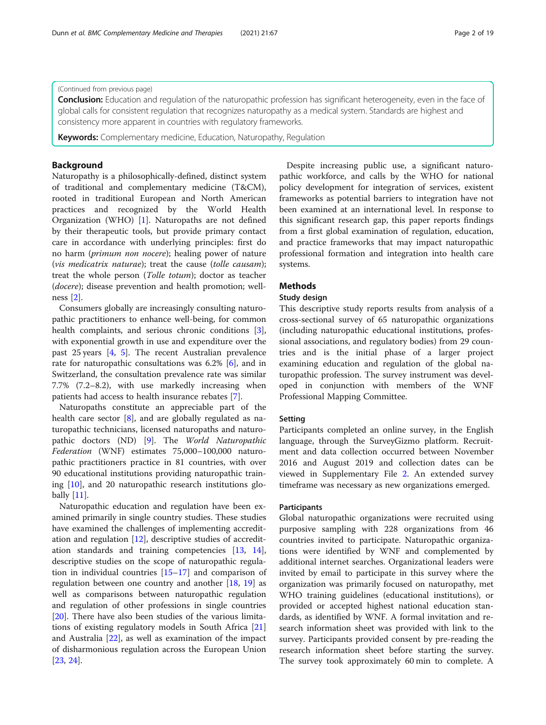#### (Continued from previous page)

**Conclusion:** Education and regulation of the naturopathic profession has significant heterogeneity, even in the face of global calls for consistent regulation that recognizes naturopathy as a medical system. Standards are highest and consistency more apparent in countries with regulatory frameworks.

**Keywords:** Complementary medicine, Education, Naturopathy, Regulation

## Background

Naturopathy is a philosophically-defined, distinct system of traditional and complementary medicine (T&CM), rooted in traditional European and North American practices and recognized by the World Health Organization (WHO) [\[1](#page-18-0)]. Naturopaths are not defined by their therapeutic tools, but provide primary contact care in accordance with underlying principles: first do no harm (primum non nocere); healing power of nature (vis medicatrix naturae); treat the cause (tolle causam); treat the whole person (Tolle totum); doctor as teacher (docere); disease prevention and health promotion; wellness [\[2](#page-18-0)].

Consumers globally are increasingly consulting naturopathic practitioners to enhance well-being, for common health complaints, and serious chronic conditions [\[3](#page-18-0)], with exponential growth in use and expenditure over the past 25 years [\[4](#page-18-0), [5\]](#page-18-0). The recent Australian prevalence rate for naturopathic consultations was 6.2% [[6\]](#page-18-0), and in Switzerland, the consultation prevalence rate was similar 7.7% (7.2–8.2), with use markedly increasing when patients had access to health insurance rebates [\[7](#page-18-0)].

Naturopaths constitute an appreciable part of the health care sector [\[8](#page-18-0)], and are globally regulated as naturopathic technicians, licensed naturopaths and naturopathic doctors (ND) [\[9\]](#page-18-0). The World Naturopathic Federation (WNF) estimates 75,000–100,000 naturopathic practitioners practice in 81 countries, with over 90 educational institutions providing naturopathic training [[10\]](#page-18-0), and 20 naturopathic research institutions globally [[11\]](#page-18-0).

Naturopathic education and regulation have been examined primarily in single country studies. These studies have examined the challenges of implementing accreditation and regulation [[12](#page-18-0)], descriptive studies of accreditation standards and training competencies [[13](#page-18-0), [14](#page-18-0)], descriptive studies on the scope of naturopathic regulation in individual countries [[15](#page-18-0)–[17](#page-18-0)] and comparison of regulation between one country and another [[18,](#page-18-0) [19\]](#page-18-0) as well as comparisons between naturopathic regulation and regulation of other professions in single countries [[20\]](#page-18-0). There have also been studies of the various limitations of existing regulatory models in South Africa [[21](#page-18-0)] and Australia [[22\]](#page-18-0), as well as examination of the impact of disharmonious regulation across the European Union [[23,](#page-18-0) [24\]](#page-18-0).

Despite increasing public use, a significant naturopathic workforce, and calls by the WHO for national policy development for integration of services, existent frameworks as potential barriers to integration have not been examined at an international level. In response to this significant research gap, this paper reports findings from a first global examination of regulation, education, and practice frameworks that may impact naturopathic professional formation and integration into health care systems.

## Methods

## Study design

This descriptive study reports results from analysis of a cross-sectional survey of 65 naturopathic organizations (including naturopathic educational institutions, professional associations, and regulatory bodies) from 29 countries and is the initial phase of a larger project examining education and regulation of the global naturopathic profession. The survey instrument was developed in conjunction with members of the WNF Professional Mapping Committee.

#### Setting

Participants completed an online survey, in the English language, through the SurveyGizmo platform. Recruitment and data collection occurred between November 2016 and August 2019 and collection dates can be viewed in Supplementary File [2](#page-17-0). An extended survey timeframe was necessary as new organizations emerged.

#### **Participants**

Global naturopathic organizations were recruited using purposive sampling with 228 organizations from 46 countries invited to participate. Naturopathic organizations were identified by WNF and complemented by additional internet searches. Organizational leaders were invited by email to participate in this survey where the organization was primarily focused on naturopathy, met WHO training guidelines (educational institutions), or provided or accepted highest national education standards, as identified by WNF. A formal invitation and research information sheet was provided with link to the survey. Participants provided consent by pre-reading the research information sheet before starting the survey. The survey took approximately 60 min to complete. A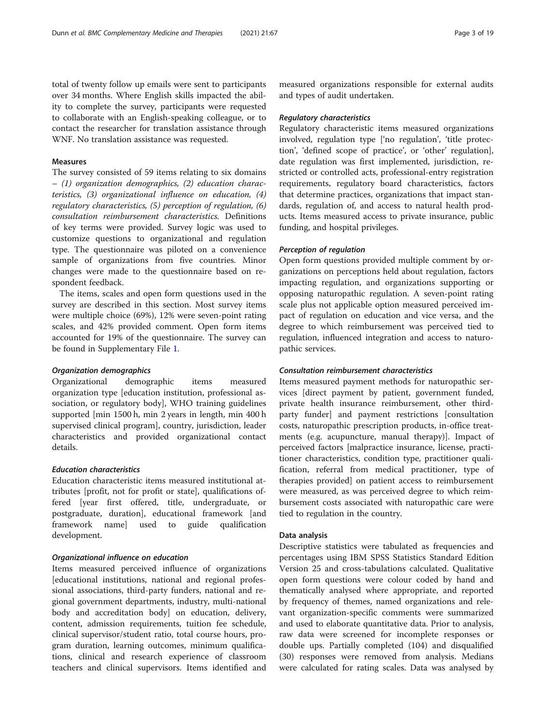total of twenty follow up emails were sent to participants over 34 months. Where English skills impacted the ability to complete the survey, participants were requested to collaborate with an English-speaking colleague, or to contact the researcher for translation assistance through WNF. No translation assistance was requested.

#### Measures

The survey consisted of 59 items relating to six domains – (1) organization demographics, (2) education characteristics, (3) organizational influence on education, (4) regulatory characteristics, (5) perception of regulation, (6) consultation reimbursement characteristics. Definitions of key terms were provided. Survey logic was used to customize questions to organizational and regulation type. The questionnaire was piloted on a convenience sample of organizations from five countries. Minor changes were made to the questionnaire based on respondent feedback.

The items, scales and open form questions used in the survey are described in this section. Most survey items were multiple choice (69%), 12% were seven-point rating scales, and 42% provided comment. Open form items accounted for 19% of the questionnaire. The survey can be found in Supplementary File [1.](#page-17-0)

#### Organization demographics

Organizational demographic items measured organization type [education institution, professional association, or regulatory body], WHO training guidelines supported [min 1500 h, min 2 years in length, min 400 h supervised clinical program], country, jurisdiction, leader characteristics and provided organizational contact details.

## Education characteristics

Education characteristic items measured institutional attributes [profit, not for profit or state], qualifications offered [year first offered, title, undergraduate, or postgraduate, duration], educational framework [and framework name] used to guide qualification development.

#### Organizational influence on education

Items measured perceived influence of organizations [educational institutions, national and regional professional associations, third-party funders, national and regional government departments, industry, multi-national body and accreditation body] on education, delivery, content, admission requirements, tuition fee schedule, clinical supervisor/student ratio, total course hours, program duration, learning outcomes, minimum qualifications, clinical and research experience of classroom teachers and clinical supervisors. Items identified and

measured organizations responsible for external audits and types of audit undertaken.

#### Regulatory characteristics

Regulatory characteristic items measured organizations involved, regulation type ['no regulation', 'title protection', 'defined scope of practice', or 'other' regulation], date regulation was first implemented, jurisdiction, restricted or controlled acts, professional-entry registration requirements, regulatory board characteristics, factors that determine practices, organizations that impact standards, regulation of, and access to natural health products. Items measured access to private insurance, public funding, and hospital privileges.

#### Perception of regulation

Open form questions provided multiple comment by organizations on perceptions held about regulation, factors impacting regulation, and organizations supporting or opposing naturopathic regulation. A seven-point rating scale plus not applicable option measured perceived impact of regulation on education and vice versa, and the degree to which reimbursement was perceived tied to regulation, influenced integration and access to naturopathic services.

#### Consultation reimbursement characteristics

Items measured payment methods for naturopathic services [direct payment by patient, government funded, private health insurance reimbursement, other thirdparty funder] and payment restrictions [consultation costs, naturopathic prescription products, in-office treatments (e.g. acupuncture, manual therapy)]. Impact of perceived factors [malpractice insurance, license, practitioner characteristics, condition type, practitioner qualification, referral from medical practitioner, type of therapies provided] on patient access to reimbursement were measured, as was perceived degree to which reimbursement costs associated with naturopathic care were tied to regulation in the country.

#### Data analysis

Descriptive statistics were tabulated as frequencies and percentages using IBM SPSS Statistics Standard Edition Version 25 and cross-tabulations calculated. Qualitative open form questions were colour coded by hand and thematically analysed where appropriate, and reported by frequency of themes, named organizations and relevant organization-specific comments were summarized and used to elaborate quantitative data. Prior to analysis, raw data were screened for incomplete responses or double ups. Partially completed (104) and disqualified (30) responses were removed from analysis. Medians were calculated for rating scales. Data was analysed by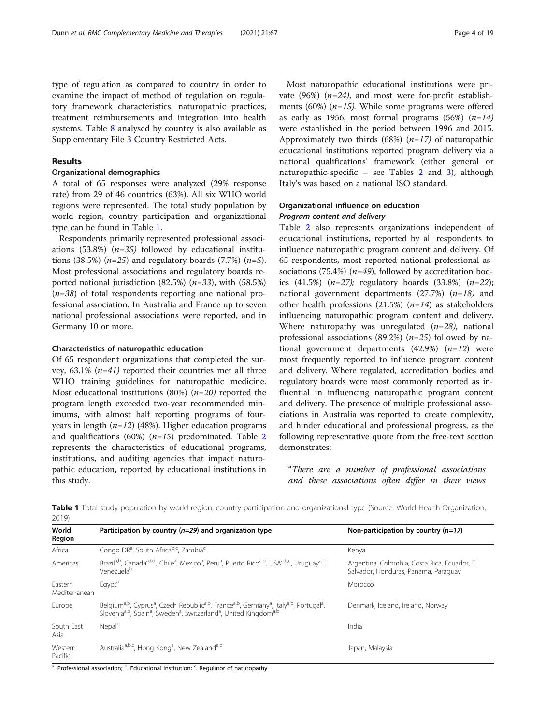type of regulation as compared to country in order to examine the impact of method of regulation on regulatory framework characteristics, naturopathic practices, treatment reimbursements and integration into health systems. Table [8](#page-11-0) analysed by country is also available as Supplementary File [3](#page-17-0) Country Restricted Acts.

## Results

## Organizational demographics

A total of 65 responses were analyzed (29% response rate) from 29 of 46 countries (63%). All six WHO world regions were represented. The total study population by world region, country participation and organizational type can be found in Table 1.

Respondents primarily represented professional associations (53.8%)  $(n=35)$  followed by educational institutions (38.5%) ( $n=25$ ) and regulatory boards (7.7%) ( $n=5$ ). Most professional associations and regulatory boards reported national jurisdiction  $(82.5\%)$   $(n=33)$ , with  $(58.5\%)$  $(n=38)$  of total respondents reporting one national professional association. In Australia and France up to seven national professional associations were reported, and in Germany 10 or more.

#### Characteristics of naturopathic education

Of 65 respondent organizations that completed the survey,  $63.1\%$  ( $n=41$ ) reported their countries met all three WHO training guidelines for naturopathic medicine. Most educational institutions (80%)  $(n=20)$  reported the program length exceeded two-year recommended minimums, with almost half reporting programs of fouryears in length  $(n=12)$  (48%). Higher education programs and qualifications (60%)  $(n=15)$  predominated. Table [2](#page-4-0) represents the characteristics of educational programs, institutions, and auditing agencies that impact naturopathic education, reported by educational institutions in this study.

Most naturopathic educational institutions were private (96%)  $(n=24)$ , and most were for-profit establishments (60%)  $(n=15)$ . While some programs were offered as early as 1956, most formal programs  $(56%)$   $(n=14)$ were established in the period between 1996 and 2015. Approximately two thirds (68%)  $(n=17)$  of naturopathic educational institutions reported program delivery via a national qualifications' framework (either general or naturopathic-specific – see Tables [2](#page-4-0) and [3](#page-5-0)), although Italy's was based on a national ISO standard.

## Organizational influence on education Program content and delivery

Table [2](#page-4-0) also represents organizations independent of educational institutions, reported by all respondents to influence naturopathic program content and delivery. Of 65 respondents, most reported national professional associations (75.4%) ( $n=49$ ), followed by accreditation bodies (41.5%) (n=27); regulatory boards (33.8%) (n=22); national government departments  $(27.7%)$   $(n=18)$  and other health professions (21.5%)  $(n=14)$  as stakeholders influencing naturopathic program content and delivery. Where naturopathy was unregulated  $(n=28)$ , national professional associations (89.2%) ( $n=25$ ) followed by national government departments  $(42.9%)$   $(n=12)$  were most frequently reported to influence program content and delivery. Where regulated, accreditation bodies and regulatory boards were most commonly reported as influential in influencing naturopathic program content and delivery. The presence of multiple professional associations in Australia was reported to create complexity, and hinder educational and professional progress, as the following representative quote from the free-text section demonstrates:

"There are a number of professional associations and these associations often differ in their views

| 20121                    |                                                                                                                                                                                                                                                                                                               |                                                                                      |
|--------------------------|---------------------------------------------------------------------------------------------------------------------------------------------------------------------------------------------------------------------------------------------------------------------------------------------------------------|--------------------------------------------------------------------------------------|
| World<br>Region          | Participation by country ( $n=29$ ) and organization type                                                                                                                                                                                                                                                     | Non-participation by country $(n=17)$                                                |
| Africa                   | Congo DR <sup>a</sup> , South Africa <sup>b,c</sup> , Zambia <sup>c</sup>                                                                                                                                                                                                                                     | Kenya                                                                                |
| Americas                 | Brazil <sup>a,b</sup> , Canada <sup>a,b,c</sup> , Chile <sup>a</sup> , Mexico <sup>a</sup> , Peru <sup>a</sup> , Puerto Rico <sup>a,b</sup> , USA <sup>a,b,c</sup> , Uruguay <sup>a,b</sup> ,<br>Venezuela <sup>b</sup>                                                                                       | Argentina, Colombia, Costa Rica, Ecuador, El<br>Salvador, Honduras, Panama, Paraguay |
| Eastern<br>Mediterranean | Eqypt <sup>a</sup>                                                                                                                                                                                                                                                                                            | Morocco                                                                              |
| Europe                   | Belgium <sup>a,b</sup> , Cyprus <sup>a</sup> , Czech Republic <sup>a,b</sup> , France <sup>a,b</sup> , Germany <sup>a</sup> , Italy <sup>a,b</sup> , Portugal <sup>a</sup> ,<br>Slovenia <sup>a,b</sup> , Spain <sup>a</sup> , Sweden <sup>a</sup> , Switzerland <sup>a</sup> , United Kingdom <sup>a,b</sup> | Denmark, Iceland, Ireland, Norway                                                    |
| South East<br>Asia       | Nepal <sup>b</sup>                                                                                                                                                                                                                                                                                            | India                                                                                |
| Western<br>Pacific       | Australia <sup>a,b,c</sup> , Hong Kong <sup>a</sup> , New Zealand <sup>a,b</sup>                                                                                                                                                                                                                              | Japan, Malaysia                                                                      |
|                          |                                                                                                                                                                                                                                                                                                               |                                                                                      |

Table 1 Total study population by world region, country participation and organizational type (Source: World Health Organization,  $2010$ 

<sup>a</sup>. Professional association; <sup>b</sup>. Educational institution; <sup>c</sup>. Regulator of naturopathy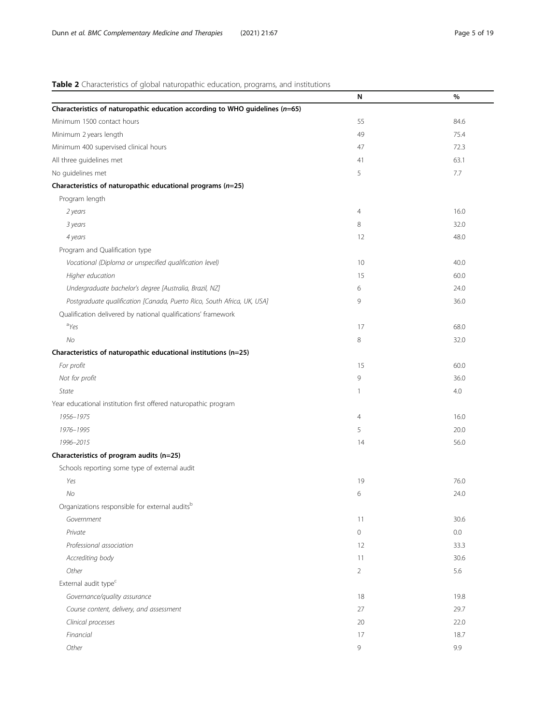## <span id="page-4-0"></span>Table 2 Characteristics of global naturopathic education, programs, and institutions

|                                                                                  | N              | %       |
|----------------------------------------------------------------------------------|----------------|---------|
| Characteristics of naturopathic education according to WHO guidelines ( $n=65$ ) |                |         |
| Minimum 1500 contact hours                                                       | 55             | 84.6    |
| Minimum 2 years length                                                           | 49             | 75.4    |
| Minimum 400 supervised clinical hours                                            | 47             | 72.3    |
| All three guidelines met                                                         | 41             | 63.1    |
| No guidelines met                                                                | 5              | 7.7     |
| Characteristics of naturopathic educational programs (n=25)                      |                |         |
| Program length                                                                   |                |         |
| 2 years                                                                          | 4              | 16.0    |
| 3 years                                                                          | 8              | 32.0    |
| 4 years                                                                          | 12             | 48.0    |
| Program and Qualification type                                                   |                |         |
| Vocational (Diploma or unspecified qualification level)                          | 10             | 40.0    |
| Higher education                                                                 | 15             | 60.0    |
| Undergraduate bachelor's degree [Australia, Brazil, NZ]                          | 6              | 24.0    |
| Postgraduate qualification [Canada, Puerto Rico, South Africa, UK, USA]          | 9              | 36.0    |
| Qualification delivered by national qualifications' framework                    |                |         |
| ayes                                                                             | 17             | 68.0    |
| No                                                                               | 8              | 32.0    |
| Characteristics of naturopathic educational institutions (n=25)                  |                |         |
| For profit                                                                       | 15             | 60.0    |
| Not for profit                                                                   | 9              | 36.0    |
| State                                                                            | 1              | 4.0     |
| Year educational institution first offered naturopathic program                  |                |         |
| 1956-1975                                                                        | $\overline{4}$ | 16.0    |
| 1976-1995                                                                        | 5              | 20.0    |
| 1996-2015                                                                        | 14             | 56.0    |
| Characteristics of program audits (n=25)                                         |                |         |
| Schools reporting some type of external audit                                    |                |         |
| Yes                                                                              | 19             | 76.0    |
| No                                                                               | 6              | 24.0    |
| Organizations responsible for external audits <sup>b</sup>                       |                |         |
| Government                                                                       | 11             | 30.6    |
| Private                                                                          | $\circ$        | $0.0\,$ |
| Professional association                                                         | 12             | 33.3    |
| Accrediting body                                                                 | 11             | 30.6    |
| Other                                                                            | $\overline{2}$ | 5.6     |
| External audit type <sup>c</sup>                                                 |                |         |
| Governance/quality assurance                                                     | 18             | 19.8    |
| Course content, delivery, and assessment                                         | 27             | 29.7    |
| Clinical processes                                                               | 20             | 22.0    |
| Financial                                                                        | 17             | 18.7    |
| Other                                                                            | 9              | 9.9     |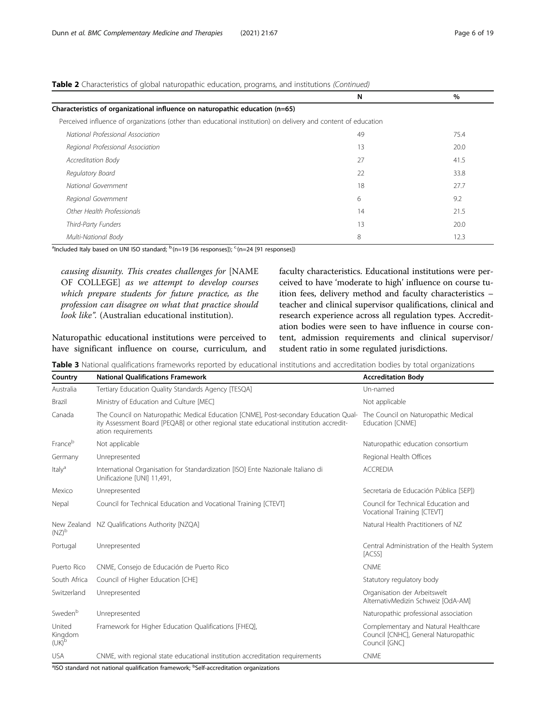<span id="page-5-0"></span>

|  | <b>Table 2</b> Characteristics of global naturopathic education, programs, and institutions (Continued) |
|--|---------------------------------------------------------------------------------------------------------|
|  |                                                                                                         |

|                                                                                                                | N  | $\%$ |
|----------------------------------------------------------------------------------------------------------------|----|------|
| Characteristics of organizational influence on naturopathic education (n=65)                                   |    |      |
| Perceived influence of organizations (other than educational institution) on delivery and content of education |    |      |
| National Professional Association                                                                              | 49 | 75.4 |
| Regional Professional Association                                                                              | 13 | 20.0 |
| Accreditation Body                                                                                             | 27 | 41.5 |
| Regulatory Board                                                                                               | 22 | 33.8 |
| National Government                                                                                            | 18 | 27.7 |
| Regional Government                                                                                            | 6  | 9.2  |
| Other Health Professionals                                                                                     | 14 | 21.5 |
| Third-Party Funders                                                                                            | 13 | 20.0 |
| Multi-National Body                                                                                            | 8  | 12.3 |

<sup>a</sup>Included Italy based on UNI ISO standard; <sup>b.</sup>(n=19 [36 responses]); <sup>c.</sup>(n=24 [91 responses])

causing disunity. This creates challenges for [NAME OF COLLEGE] as we attempt to develop courses which prepare students for future practice, as the profession can disagree on what that practice should look like". (Australian educational institution).

Naturopathic educational institutions were perceived to have significant influence on course, curriculum, and faculty characteristics. Educational institutions were perceived to have 'moderate to high' influence on course tuition fees, delivery method and faculty characteristics – teacher and clinical supervisor qualifications, clinical and research experience across all regulation types. Accreditation bodies were seen to have influence in course content, admission requirements and clinical supervisor/ student ratio in some regulated jurisdictions.

Table 3 National qualifications frameworks reported by educational institutions and accreditation bodies by total organizations

| Country                       | <b>National Oualifications Framework</b>                                                                                                                                                             | <b>Accreditation Body</b>                                                                     |
|-------------------------------|------------------------------------------------------------------------------------------------------------------------------------------------------------------------------------------------------|-----------------------------------------------------------------------------------------------|
| Australia                     | Tertiary Education Quality Standards Agency [TESQA]                                                                                                                                                  | Un-named                                                                                      |
| <b>Brazil</b>                 | Ministry of Education and Culture [MEC]                                                                                                                                                              | Not applicable                                                                                |
| Canada                        | The Council on Naturopathic Medical Education [CNME], Post-secondary Education Qual-<br>ity Assessment Board [PEQAB] or other regional state educational institution accredit-<br>ation requirements | The Council on Naturopathic Medical<br>Education [CNME]                                       |
| Franceb                       | Not applicable                                                                                                                                                                                       | Naturopathic education consortium                                                             |
| Germany                       | Unrepresented                                                                                                                                                                                        | Regional Health Offices                                                                       |
| Italy <sup>a</sup>            | International Organisation for Standardization [ISO] Ente Nazionale Italiano di<br>Unificazione [UNI] 11,491,                                                                                        | <b>ACCREDIA</b>                                                                               |
| Mexico                        | Unrepresented                                                                                                                                                                                        | Secretaria de Educación Pública [SEP])                                                        |
| Nepal                         | Council for Technical Education and Vocational Training [CTEVT]                                                                                                                                      | Council for Technical Education and<br>Vocational Training [CTEVT]                            |
| $(NZ)^b$                      | New Zealand NZ Qualifications Authority [NZQA]                                                                                                                                                       | Natural Health Practitioners of NZ                                                            |
| Portugal                      | Unrepresented                                                                                                                                                                                        | Central Administration of the Health System<br>[ACSS]                                         |
| Puerto Rico                   | CNME, Consejo de Educación de Puerto Rico                                                                                                                                                            | <b>CNMF</b>                                                                                   |
| South Africa                  | Council of Higher Education [CHE]                                                                                                                                                                    | Statutory regulatory body                                                                     |
| Switzerland                   | Unrepresented                                                                                                                                                                                        | Organisation der Arbeitswelt<br>AlternativMedizin Schweiz [OdA-AM]                            |
| Sweden <sup>b</sup>           | Unrepresented                                                                                                                                                                                        | Naturopathic professional association                                                         |
| United<br>Kingdom<br>$(UK)^b$ | Framework for Higher Education Qualifications [FHEQ],                                                                                                                                                | Complementary and Natural Healthcare<br>Council [CNHC], General Naturopathic<br>Council [GNC] |
| <b>USA</b>                    | CNME, with regional state educational institution accreditation requirements                                                                                                                         | <b>CNME</b>                                                                                   |

<sup>a</sup>ISO standard not national qualification framework; <sup>b</sup>Self-accreditation organizations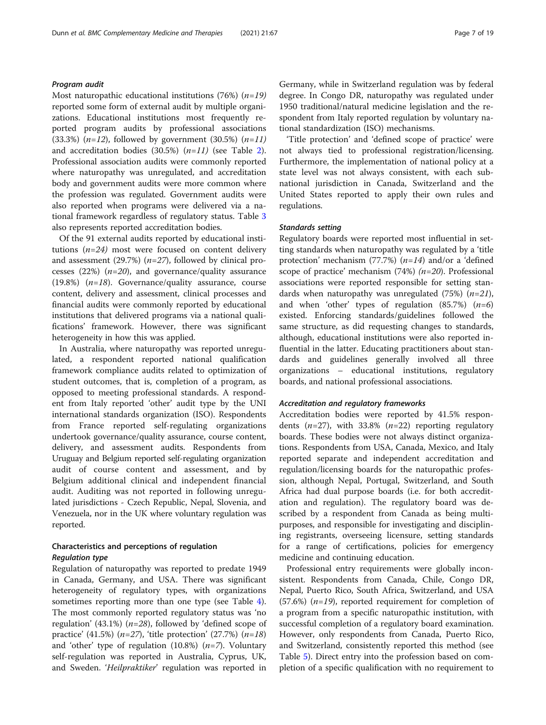#### Program audit

Most naturopathic educational institutions (76%)  $(n=19)$ reported some form of external audit by multiple organizations. Educational institutions most frequently reported program audits by professional associations (33.3%) ( $n=12$ ), followed by government (30.5%) ( $n=11$ ) and accreditation bodies  $(30.5\%)$   $(n=11)$  (see Table [2](#page-4-0)). Professional association audits were commonly reported where naturopathy was unregulated, and accreditation body and government audits were more common where the profession was regulated. Government audits were also reported when programs were delivered via a national framework regardless of regulatory status. Table [3](#page-5-0) also represents reported accreditation bodies.

Of the 91 external audits reported by educational institutions  $(n=24)$  most were focused on content delivery and assessment (29.7%)  $(n=27)$ , followed by clinical processes (22%)  $(n=20)$ , and governance/quality assurance (19.8%)  $(n=18)$ . Governance/quality assurance, course content, delivery and assessment, clinical processes and financial audits were commonly reported by educational institutions that delivered programs via a national qualifications' framework. However, there was significant heterogeneity in how this was applied.

In Australia, where naturopathy was reported unregulated, a respondent reported national qualification framework compliance audits related to optimization of student outcomes, that is, completion of a program, as opposed to meeting professional standards. A respondent from Italy reported 'other' audit type by the UNI international standards organization (ISO). Respondents from France reported self-regulating organizations undertook governance/quality assurance, course content, delivery, and assessment audits. Respondents from Uruguay and Belgium reported self-regulating organization audit of course content and assessment, and by Belgium additional clinical and independent financial audit. Auditing was not reported in following unregulated jurisdictions - Czech Republic, Nepal, Slovenia, and Venezuela, nor in the UK where voluntary regulation was reported.

## Characteristics and perceptions of regulation Regulation type

Regulation of naturopathy was reported to predate 1949 in Canada, Germany, and USA. There was significant heterogeneity of regulatory types, with organizations sometimes reporting more than one type (see Table [4](#page-7-0)). The most commonly reported regulatory status was 'no regulation' (43.1%) ( $n=28$ ), followed by 'defined scope of practice' (41.5%) ( $n=27$ ), 'title protection' (27.7%) ( $n=18$ ) and 'other' type of regulation  $(10.8%)$   $(n=7)$ . Voluntary self-regulation was reported in Australia, Cyprus, UK, and Sweden. 'Heilpraktiker' regulation was reported in

Germany, while in Switzerland regulation was by federal degree. In Congo DR, naturopathy was regulated under 1950 traditional/natural medicine legislation and the respondent from Italy reported regulation by voluntary national standardization (ISO) mechanisms.

'Title protection' and 'defined scope of practice' were not always tied to professional registration/licensing. Furthermore, the implementation of national policy at a state level was not always consistent, with each subnational jurisdiction in Canada, Switzerland and the United States reported to apply their own rules and regulations.

#### Standards setting

Regulatory boards were reported most influential in setting standards when naturopathy was regulated by a 'title protection' mechanism (77.7%)  $(n=14)$  and/or a 'defined scope of practice' mechanism (74%)  $(n=20)$ . Professional associations were reported responsible for setting standards when naturopathy was unregulated (75%)  $(n=21)$ , and when 'other' types of regulation  $(85.7%)$   $(n=6)$ existed. Enforcing standards/guidelines followed the same structure, as did requesting changes to standards, although, educational institutions were also reported influential in the latter. Educating practitioners about standards and guidelines generally involved all three organizations – educational institutions, regulatory boards, and national professional associations.

#### Accreditation and regulatory frameworks

Accreditation bodies were reported by 41.5% respondents  $(n=27)$ , with 33.8%  $(n=22)$  reporting regulatory boards. These bodies were not always distinct organizations. Respondents from USA, Canada, Mexico, and Italy reported separate and independent accreditation and regulation/licensing boards for the naturopathic profession, although Nepal, Portugal, Switzerland, and South Africa had dual purpose boards (i.e. for both accreditation and regulation). The regulatory board was described by a respondent from Canada as being multipurposes, and responsible for investigating and disciplining registrants, overseeing licensure, setting standards for a range of certifications, policies for emergency medicine and continuing education.

Professional entry requirements were globally inconsistent. Respondents from Canada, Chile, Congo DR, Nepal, Puerto Rico, South Africa, Switzerland, and USA  $(57.6%)$  (*n*=19), reported requirement for completion of a program from a specific naturopathic institution, with successful completion of a regulatory board examination. However, only respondents from Canada, Puerto Rico, and Switzerland, consistently reported this method (see Table [5\)](#page-8-0). Direct entry into the profession based on completion of a specific qualification with no requirement to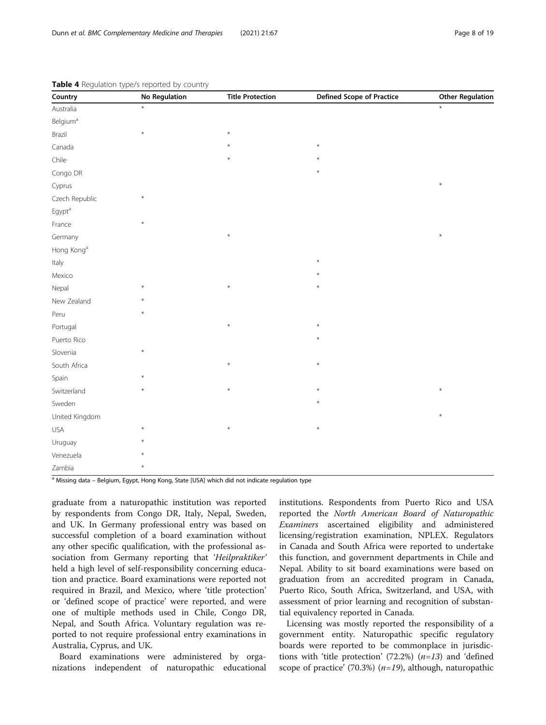| Country                     | <b>No Regulation</b> | <b>Title Protection</b> | <b>Defined Scope of Practice</b> | <b>Other Regulation</b> |
|-----------------------------|----------------------|-------------------------|----------------------------------|-------------------------|
| Australia                   | $\ast$               |                         |                                  | $\ast$                  |
| <b>Belgium</b> <sup>a</sup> |                      |                         |                                  |                         |
| Brazil                      | $\ast$               | $\ast$                  |                                  |                         |
| Canada                      |                      |                         | $\star$                          |                         |
| Chile                       |                      |                         |                                  |                         |
| Congo DR                    |                      |                         |                                  |                         |
| Cyprus                      |                      |                         |                                  | $\ast$                  |
| Czech Republic              | $\ast$               |                         |                                  |                         |
| Egypt <sup>a</sup>          |                      |                         |                                  |                         |
| France                      | $\ast$               |                         |                                  |                         |
| Germany                     |                      | ⋇                       |                                  | $\ast$                  |
| Hong Kong <sup>a</sup>      |                      |                         |                                  |                         |
| Italy                       |                      |                         | $\star$                          |                         |
| Mexico                      |                      |                         |                                  |                         |
| Nepal                       | $\star$              | $\ast$                  | $\ast$                           |                         |
| New Zealand                 |                      |                         |                                  |                         |
| Peru                        | $\ast$               |                         |                                  |                         |
| Portugal                    |                      |                         |                                  |                         |
| Puerto Rico                 |                      |                         | $\ast$                           |                         |
| Slovenia                    | $\ast$               |                         |                                  |                         |
| South Africa                |                      | ₩                       | $\ast$                           |                         |
| Spain                       |                      |                         |                                  |                         |
| Switzerland                 | $\ast$               | ₩                       | $\ast$                           | $\ast$                  |
| Sweden                      |                      |                         | $\star$                          |                         |
| United Kingdom              |                      |                         |                                  | $\ast$                  |
| USA                         | $\ast$               | ⋇                       | $\ast$                           |                         |
| Uruguay                     |                      |                         |                                  |                         |
| Venezuela                   |                      |                         |                                  |                         |
| Zambia                      | ¥                    |                         |                                  |                         |

<span id="page-7-0"></span>Table 4 Regulation type/s reported by country

a Missing data – Belgium, Egypt, Hong Kong, State [USA] which did not indicate regulation type

graduate from a naturopathic institution was reported by respondents from Congo DR, Italy, Nepal, Sweden, and UK. In Germany professional entry was based on successful completion of a board examination without any other specific qualification, with the professional association from Germany reporting that 'Heilpraktiker' held a high level of self-responsibility concerning education and practice. Board examinations were reported not required in Brazil, and Mexico, where 'title protection' or 'defined scope of practice' were reported, and were one of multiple methods used in Chile, Congo DR, Nepal, and South Africa. Voluntary regulation was reported to not require professional entry examinations in Australia, Cyprus, and UK.

Board examinations were administered by organizations independent of naturopathic educational

institutions. Respondents from Puerto Rico and USA reported the North American Board of Naturopathic Examiners ascertained eligibility and administered licensing/registration examination, NPLEX. Regulators in Canada and South Africa were reported to undertake this function, and government departments in Chile and Nepal. Ability to sit board examinations were based on graduation from an accredited program in Canada, Puerto Rico, South Africa, Switzerland, and USA, with assessment of prior learning and recognition of substantial equivalency reported in Canada.

Licensing was mostly reported the responsibility of a government entity. Naturopathic specific regulatory boards were reported to be commonplace in jurisdictions with 'title protection' (72.2%)  $(n=13)$  and 'defined scope of practice' (70.3%)  $(n=19)$ , although, naturopathic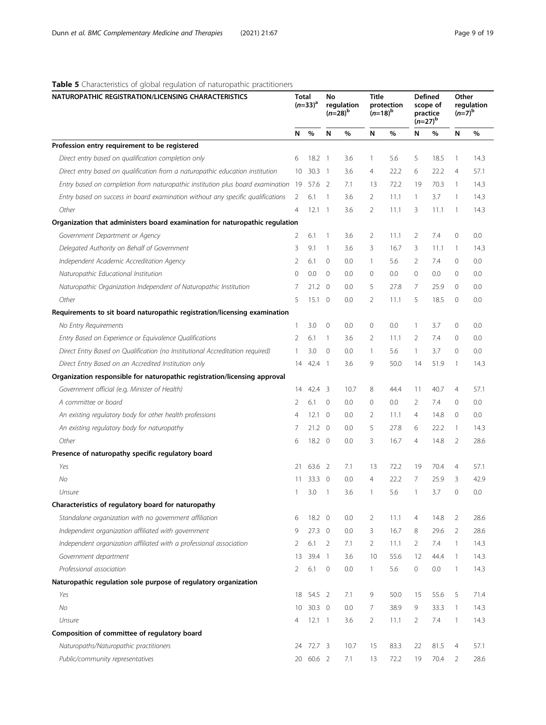## <span id="page-8-0"></span>Table 5 Characteristics of global regulation of naturopathic practitioners

| NATUROPATHIC REGISTRATION/LICENSING CHARACTERISTICS                               | <b>Total</b><br>$(n=33)^{a}$ |                | No<br>regulation<br>$(n=28)^{b}$ |      | <b>Title</b><br>protection<br>$(n=18)^{b}$ |      | <b>Defined</b><br>scope of<br>practice<br>$(n=27)^{p}$ |      | Other<br>regulation<br>$(n=7)^{b}$ |      |
|-----------------------------------------------------------------------------------|------------------------------|----------------|----------------------------------|------|--------------------------------------------|------|--------------------------------------------------------|------|------------------------------------|------|
|                                                                                   | N                            | %              | N                                | %    | N                                          | %    | N                                                      | %    | N                                  | $\%$ |
| Profession entry requirement to be registered                                     |                              |                |                                  |      |                                            |      |                                                        |      |                                    |      |
| Direct entry based on qualification completion only                               | 6                            | 18.2           | $\overline{1}$                   | 3.6  | $\mathbf{1}$                               | 5.6  | 5                                                      | 18.5 | -1                                 | 14.3 |
| Direct entry based on qualification from a naturopathic education institution     | 10                           | $30.3 \quad 1$ |                                  | 3.6  | $\overline{4}$                             | 22.2 | 6                                                      | 22.2 | $\overline{4}$                     | 57.1 |
| Entry based on completion from naturopathic institution plus board examination 19 |                              | 57.6 2         |                                  | 7.1  | 13                                         | 72.2 | 19                                                     | 70.3 | -1                                 | 14.3 |
| Entry based on success in board examination without any specific qualifications   | 2                            | 6.1            | -1                               | 3.6  | $\overline{2}$                             | 11.1 | $\mathbf{1}$                                           | 3.7  | -1                                 | 14.3 |
| Other                                                                             | $\overline{4}$               | 12.1           | $\overline{1}$                   | 3.6  | $\overline{2}$                             | 11.1 | 3                                                      | 11.1 | 1                                  | 14.3 |
| Organization that administers board examination for naturopathic regulation       |                              |                |                                  |      |                                            |      |                                                        |      |                                    |      |
| Government Department or Agency                                                   | 2                            | 6.1            | $\mathbf{1}$                     | 3.6  | 2                                          | 11.1 | 2                                                      | 7.4  | $\mathbf 0$                        | 0.0  |
| Delegated Authority on Behalf of Government                                       | 3                            | 9.1            | $\mathbf{1}$                     | 3.6  | 3                                          | 16.7 | 3                                                      | 11.1 | $\mathbf{1}$                       | 14.3 |
| Independent Academic Accreditation Agency                                         | $\overline{2}$               | 6.1            | 0                                | 0.0  | $\mathbf{1}$                               | 5.6  | 2                                                      | 7.4  | $\mathbf 0$                        | 0.0  |
| Naturopathic Educational Institution                                              | $\Omega$                     | 0.0            | $\mathbf{0}$                     | 0.0  | 0                                          | 0.0  | $\mathbf{0}$                                           | 0.0  | $\mathbf{0}$                       | 0.0  |
| Naturopathic Organization Independent of Naturopathic Institution                 | 7                            | $21.2 \quad 0$ |                                  | 0.0  | 5                                          | 27.8 | 7                                                      | 25.9 | $\mathbf{0}$                       | 0.0  |
| Other                                                                             | 5                            | $15.1 \quad 0$ |                                  | 0.0  | 2                                          | 11.1 | 5                                                      | 18.5 | $\mathbf{0}$                       | 0.0  |
| Requirements to sit board naturopathic registration/licensing examination         |                              |                |                                  |      |                                            |      |                                                        |      |                                    |      |
| No Entry Requirements                                                             | $\mathbf{1}$                 | 3.0            | $\mathbf 0$                      | 0.0  | 0                                          | 0.0  | $\mathbf{1}$                                           | 3.7  | $\mathbf 0$                        | 0.0  |
| Entry Based on Experience or Equivalence Qualifications                           | 2                            | 6.1            | $\overline{1}$                   | 3.6  | 2                                          | 11.1 | 2                                                      | 7.4  | $\mathbf 0$                        | 0.0  |
| Direct Entry Based on Qualification (no Institutional Accreditation required)     | $\mathbf{1}$                 | 3.0            | $\mathbf{0}$                     | 0.0  | $\mathbf{1}$                               | 5.6  | $\mathbf{1}$                                           | 3.7  | $\mathbf 0$                        | 0.0  |
| Direct Entry Based on an Accredited Institution only                              | 14                           | 42.4 1         |                                  | 3.6  | 9                                          | 50.0 | 14                                                     | 51.9 | 1                                  | 14.3 |
| Organization responsible for naturopathic registration/licensing approval         |                              |                |                                  |      |                                            |      |                                                        |      |                                    |      |
| Government official (e.g. Minister of Health)                                     | 14                           | $42.4$ 3       |                                  | 10.7 | 8                                          | 44.4 | 11                                                     | 40.7 | 4                                  | 57.1 |
| A committee or board                                                              | 2                            | 6.1            | $\overline{0}$                   | 0.0  | 0                                          | 0.0  | 2                                                      | 7.4  | $\mathbf{0}$                       | 0.0  |
| An existing regulatory body for other health professions                          | $\overline{4}$               | 12.1           | $\overline{0}$                   | 0.0  | 2                                          | 11.1 | 4                                                      | 14.8 | $\mathbf{0}$                       | 0.0  |
| An existing regulatory body for naturopathy                                       | 7                            | $21.2 \quad 0$ |                                  | 0.0  | 5                                          | 27.8 | 6                                                      | 22.2 | 1                                  | 14.3 |
| Other                                                                             | 6                            | $18.2 \quad 0$ |                                  | 0.0  | 3                                          | 16.7 | $\overline{4}$                                         | 14.8 | 2                                  | 28.6 |
| Presence of naturopathy specific regulatory board                                 |                              |                |                                  |      |                                            |      |                                                        |      |                                    |      |
| Yes                                                                               | 21                           | 63.6 2         |                                  | 7.1  | 13                                         | 72.2 | 19                                                     | 70.4 | 4                                  | 57.1 |
| No                                                                                | 11                           | 33.3 0         |                                  | 0.0  | $\overline{4}$                             | 22.2 | 7                                                      | 25.9 | 3                                  | 42.9 |
| Unsure                                                                            | 1                            | 3.0            | -1                               | 3.6  | $\mathbf{1}$                               | 5.6  | 1                                                      | 3.7  | $\mathbf{0}$                       | 0.0  |
| Characteristics of regulatory board for naturopathy                               |                              |                |                                  |      |                                            |      |                                                        |      |                                    |      |
| Standalone organization with no government affiliation                            | 6                            | 18.2 0         |                                  | 0.0  | 2                                          | 11.1 | 4                                                      | 14.8 | 2                                  | 28.6 |
| Independent organization affiliated with government                               | 9                            | $27.3 \quad 0$ |                                  | 0.0  | 3                                          | 16.7 | 8                                                      | 29.6 | $\overline{2}$                     | 28.6 |
| Independent organization affiliated with a professional association               | 2                            | 6.1            | 2                                | 7.1  | $\overline{2}$                             | 11.1 | 2                                                      | 7.4  | $\mathbf{1}$                       | 14.3 |
| Government department                                                             | 13                           | 39.4 1         |                                  | 3.6  | 10                                         | 55.6 | 12                                                     | 44.4 | $\overline{\phantom{a}}$           | 14.3 |
| Professional association                                                          | 2                            | 6.1            | 0                                | 0.0  | $\mathbf{1}$                               | 5.6  | 0                                                      | 0.0  | $\mathbf{1}$                       | 14.3 |
| Naturopathic regulation sole purpose of regulatory organization                   |                              |                |                                  |      |                                            |      |                                                        |      |                                    |      |
| Yes                                                                               | 18                           | 54.5 2         |                                  | 7.1  | 9                                          | 50.0 | 15                                                     | 55.6 | 5                                  | 71.4 |
| N <sub>O</sub>                                                                    | 10                           | $30.3 \quad 0$ |                                  | 0.0  | 7                                          | 38.9 | 9                                                      | 33.3 | $\mathbf{1}$                       | 14.3 |
| Unsure                                                                            | 4                            | $12.1 \quad 1$ |                                  | 3.6  | $\overline{2}$                             | 11.1 | 2                                                      | 7.4  | $\mathbf{1}$                       | 14.3 |
| Composition of committee of regulatory board                                      |                              |                |                                  |      |                                            |      |                                                        |      |                                    |      |
| Naturopaths/Naturopathic practitioners                                            | 24                           | 72.7 3         |                                  | 10.7 | 15                                         | 83.3 | 22                                                     | 81.5 | 4                                  | 57.1 |
| Public/community representatives                                                  |                              | 20 60.6 2      |                                  | 7.1  | 13                                         | 72.2 | 19                                                     | 70.4 | 2                                  | 28.6 |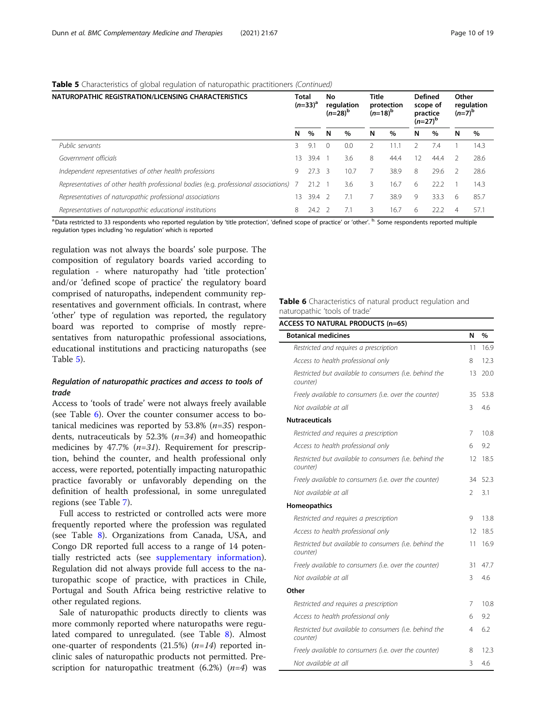## Table 5 Characteristics of global regulation of naturopathic practitioners (Continued)

| NATUROPATHIC REGISTRATION/LICENSING CHARACTERISTICS                                  |    | Total<br>$(n=33)^a$ |          | No<br>regulation<br>$(n=28)^{p}$ |   | Title<br>protection<br>$(n=18)^{6}$ |                   | <b>Defined</b><br>scope of<br>practice<br>$(n=27)^{p}$ |   | Other<br>regulation<br>$(n=7)^{p}$ |  |
|--------------------------------------------------------------------------------------|----|---------------------|----------|----------------------------------|---|-------------------------------------|-------------------|--------------------------------------------------------|---|------------------------------------|--|
|                                                                                      | N  | %                   | N        | %                                | N | $\%$                                | N                 | %                                                      | N | $\%$                               |  |
| Public servants                                                                      | 3  | 9.1                 | $\Omega$ | 0.0                              |   | 11.7                                |                   | 7.4                                                    |   | 14.3                               |  |
| Government officials                                                                 | 13 | 39.4                |          | 3.6                              | 8 | 44.4                                | $12 \overline{ }$ | 44.4                                                   |   | 28.6                               |  |
| Independent representatives of other health professions                              | 9  | $27.3 \quad 3$      |          | 10.7                             |   | 38.9                                | 8                 | 29.6                                                   |   | 28.6                               |  |
| Representatives of other health professional bodies (e.g. professional associations) |    | $21.2 \quad 1$      |          | 3.6                              | 3 | 16.7                                | 6                 | 22.2                                                   |   | 14.3                               |  |
| Representatives of naturopathic professional associations                            | 13 | 39.4 2              |          | 7.1                              |   | 38.9                                | 9                 | 33.3                                                   | 6 | 85.7                               |  |
| Representatives of naturopathic educational institutions                             | 8  | $24.2$ 2            |          | 7.1                              | 3 | 16.7                                | 6                 | 22.2                                                   | 4 | 57.1                               |  |

a. Data restricted to 33 respondents who reported regulation by 'title protection', 'defined scope of practice' or 'other'. <sup>b.</sup> Some respondents reported multiple regulation types including 'no regulation' which is reported

regulation was not always the boards' sole purpose. The composition of regulatory boards varied according to regulation - where naturopathy had 'title protection' and/or 'defined scope of practice' the regulatory board comprised of naturopaths, independent community representatives and government officials. In contrast, where 'other' type of regulation was reported, the regulatory board was reported to comprise of mostly representatives from naturopathic professional associations, educational institutions and practicing naturopaths (see Table [5\)](#page-8-0).

## Regulation of naturopathic practices and access to tools of trade

Access to 'tools of trade' were not always freely available (see Table 6). Over the counter consumer access to botanical medicines was reported by  $53.8\%$  ( $n=35$ ) respondents, nutraceuticals by 52.3%  $(n=34)$  and homeopathic medicines by 47.7%  $(n=31)$ . Requirement for prescription, behind the counter, and health professional only access, were reported, potentially impacting naturopathic practice favorably or unfavorably depending on the definition of health professional, in some unregulated regions (see Table [7\)](#page-10-0).

Full access to restricted or controlled acts were more frequently reported where the profession was regulated (see Table [8](#page-11-0)). Organizations from Canada, USA, and Congo DR reported full access to a range of 14 potentially restricted acts (see [supplementary information](#page-17-0)). Regulation did not always provide full access to the naturopathic scope of practice, with practices in Chile, Portugal and South Africa being restrictive relative to other regulated regions.

Sale of naturopathic products directly to clients was more commonly reported where naturopaths were regulated compared to unregulated. (see Table [8](#page-11-0)). Almost one-quarter of respondents (21.5%)  $(n=14)$  reported inclinic sales of naturopathic products not permitted. Prescription for naturopathic treatment  $(6.2%)$   $(n=4)$  was Table 6 Characteristics of natural product regulation and naturopathic 'tools of trade'

| <b>Botanical medicines</b>                                         | N  | %    |
|--------------------------------------------------------------------|----|------|
| Restricted and requires a prescription                             | 11 | 16.9 |
| Access to health professional only                                 | 8  | 12.3 |
| Restricted but available to consumers (i.e. behind the<br>counter) | 13 | 20.0 |
| Freely available to consumers (i.e. over the counter)              | 35 | 53.8 |
| Not available at all                                               | 3  | 4.6  |
| <b>Nutraceuticals</b>                                              |    |      |
| Restricted and requires a prescription                             | 7  | 10.8 |
| Access to health professional only                                 | 6  | 9.2  |
| Restricted but available to consumers (i.e. behind the<br>counter) | 12 | 18.5 |
| Freely available to consumers (i.e. over the counter)              | 34 | 52.3 |
| Not available at all                                               | 2  | 3.1  |
| Homeopathics                                                       |    |      |
| Restricted and requires a prescription                             | 9  | 13.8 |
| Access to health professional only                                 | 12 | 18.5 |
| Restricted but available to consumers (i.e. behind the<br>counter) | 11 | 16.9 |
| Freely available to consumers (i.e. over the counter)              | 31 | 47.7 |
| Not available at all                                               | 3  | 4.6  |
| Other                                                              |    |      |
| Restricted and requires a prescription                             | 7  | 10.8 |
| Access to health professional only                                 | 6  | 9.2  |
| Restricted but available to consumers (i.e. behind the<br>counter) | 4  | 6.2  |
| Freely available to consumers (i.e. over the counter)              | 8  | 12.3 |
| Not available at all                                               | 3  | 4.6  |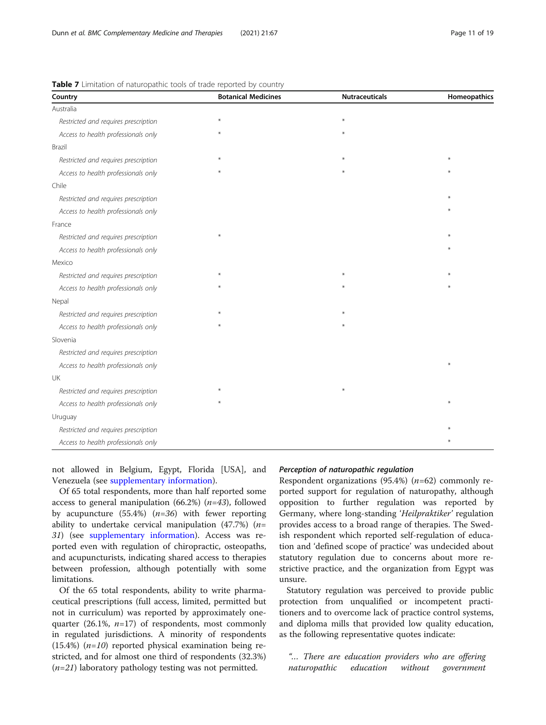| Country                              | <b>Botanical Medicines</b> | <b>Nutraceuticals</b> | Homeopathics |
|--------------------------------------|----------------------------|-----------------------|--------------|
| Australia                            |                            |                       |              |
| Restricted and requires prescription |                            | ¥                     |              |
| Access to health professionals only  |                            | ¥                     |              |
| Brazil                               |                            |                       |              |
| Restricted and requires prescription |                            |                       | $\ast$       |
| Access to health professionals only  |                            | $*$                   |              |
| Chile                                |                            |                       |              |
| Restricted and requires prescription |                            |                       | ¥            |
| Access to health professionals only  |                            |                       |              |
| France                               |                            |                       |              |
| Restricted and requires prescription |                            |                       | ¥            |
| Access to health professionals only  |                            |                       |              |
| Mexico                               |                            |                       |              |
| Restricted and requires prescription |                            | $\ast$                |              |
| Access to health professionals only  |                            |                       |              |
| Nepal                                |                            |                       |              |
| Restricted and requires prescription |                            |                       |              |
| Access to health professionals only  |                            | $\ast$                |              |
| Slovenia                             |                            |                       |              |
| Restricted and requires prescription |                            |                       |              |
| Access to health professionals only  |                            |                       | $\ast$       |
| UK                                   |                            |                       |              |
| Restricted and requires prescription |                            | $\ast$                |              |
| Access to health professionals only  |                            |                       | $*$          |
| Uruguay                              |                            |                       |              |
| Restricted and requires prescription |                            |                       |              |
| Access to health professionals only  |                            |                       | ¥            |

<span id="page-10-0"></span>Table 7 Limitation of naturopathic tools of trade reported by country

not allowed in Belgium, Egypt, Florida [USA], and Venezuela (see [supplementary information\)](#page-17-0).

Of 65 total respondents, more than half reported some access to general manipulation (66.2%)  $(n=43)$ , followed by acupuncture  $(55.4%)$   $(n=36)$  with fewer reporting ability to undertake cervical manipulation (47.7%) ( $n=$ 31) (see [supplementary information](#page-17-0)). Access was reported even with regulation of chiropractic, osteopaths, and acupuncturists, indicating shared access to therapies between profession, although potentially with some limitations.

Of the 65 total respondents, ability to write pharmaceutical prescriptions (full access, limited, permitted but not in curriculum) was reported by approximately onequarter (26.1%,  $n=17$ ) of respondents, most commonly in regulated jurisdictions. A minority of respondents  $(15.4%)$  (*n=10*) reported physical examination being restricted, and for almost one third of respondents (32.3%)  $(n=21)$  laboratory pathology testing was not permitted.

## Perception of naturopathic regulation

Respondent organizations (95.4%)  $(n=62)$  commonly reported support for regulation of naturopathy, although opposition to further regulation was reported by Germany, where long-standing 'Heilpraktiker' regulation provides access to a broad range of therapies. The Swedish respondent which reported self-regulation of education and 'defined scope of practice' was undecided about statutory regulation due to concerns about more restrictive practice, and the organization from Egypt was unsure.

Statutory regulation was perceived to provide public protection from unqualified or incompetent practitioners and to overcome lack of practice control systems, and diploma mills that provided low quality education, as the following representative quotes indicate:

"… There are education providers who are offering naturopathic education without government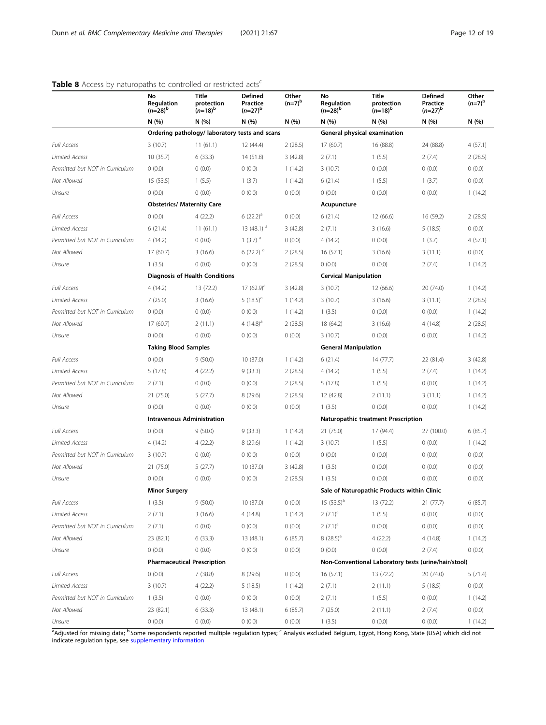|                                 | No<br>Regulation<br>$(n=28)^{b}$  | <b>Title</b><br>protection<br>$(n=18)^{b}$     | <b>Defined</b><br>Practice<br>$(n=27)^{b}$ | Other<br>$(n=7)^{b}$ | No<br>Regulation<br>$(n=28)^{b}$    | <b>Title</b><br>protection<br>$(n=18)^{b}$           | Defined<br>Practice<br>$(n=27)^{b}$ | Other<br>$(n=7)^{b}$ |
|---------------------------------|-----------------------------------|------------------------------------------------|--------------------------------------------|----------------------|-------------------------------------|------------------------------------------------------|-------------------------------------|----------------------|
|                                 | N (%)                             | N (%)                                          | N(%)                                       | N (%)                | N (%)                               | N(%)                                                 | N(%)                                | N(%)                 |
|                                 |                                   | Ordering pathology/ laboratory tests and scans |                                            |                      |                                     | General physical examination                         |                                     |                      |
| <b>Full Access</b>              | 3(10.7)                           | 11(61.1)                                       | 12 (44.4)                                  | 2(28.5)              | 17 (60.7)                           | 16 (88.8)                                            | 24 (88.8)                           | 4(57.1)              |
| <b>Limited Access</b>           | 10 (35.7)                         | 6(33.3)                                        | 14 (51.8)                                  | 3(42.8)              | 2(7.1)                              | 1(5.5)                                               | 2(7.4)                              | 2(28.5)              |
| Permitted but NOT in Curriculum | 0(0.0)                            | 0(0.0)                                         | 0(0.0)                                     | 1(14.2)              | 3(10.7)                             | 0(0.0)                                               | 0(0.0)                              | 0(0.0)               |
| Not Allowed                     | 15 (53.5)                         | 1(5.5)                                         | 1(3.7)                                     | 1(14.2)              | 6(21.4)                             | 1(5.5)                                               | 1(3.7)                              | 0(0.0)               |
| Unsure                          | 0(0.0)                            | 0(0.0)                                         | 0(0.0)                                     | 0(0.0)               | (0.0)                               | 0(0.0)                                               | 0(0.0)                              | 1(14.2)              |
|                                 | <b>Obstetrics/ Maternity Care</b> |                                                |                                            |                      | Acupuncture                         |                                                      |                                     |                      |
| <b>Full Access</b>              | 0(0.0)                            | 4(22.2)                                        | $6(22.2)^a$                                | 0(0.0)               | 6(21.4)                             | 12 (66.6)                                            | 16 (59.2)                           | 2(28.5)              |
| <b>Limited Access</b>           | 6(21.4)                           | 11(61.1)                                       | 13 $(48.1)$ <sup>a</sup>                   | 3(42.8)              | 2(7.1)                              | 3(16.6)                                              | 5(18.5)                             | 0(0.0)               |
| Permitted but NOT in Curriculum | 4(14.2)                           | 0(0.0)                                         | $1(3.7)$ <sup>a</sup>                      | 0(0.0)               | 4 (14.2)                            | 0(0.0)                                               | 1(3.7)                              | 4(57.1)              |
| Not Allowed                     | 17 (60.7)                         | 3(16.6)                                        | 6 $(22.2)$ <sup>a</sup>                    | 2(28.5)              | 16(57.1)                            | 3(16.6)                                              | 3(11.1)                             | 0(0.0)               |
| Unsure                          | 1(3.5)                            | 0(0.0)                                         | 0(0.0)                                     | 2(28.5)              | (0.0)                               | 0(0.0)                                               | 2(7.4)                              | 1(14.2)              |
|                                 |                                   | <b>Diagnosis of Health Conditions</b>          |                                            |                      | <b>Cervical Manipulation</b>        |                                                      |                                     |                      |
| <b>Full Access</b>              | 4(14.2)                           | 13 (72.2)                                      | $17(62.9)^a$                               | 3(42.8)              | 3(10.7)                             | 12 (66.6)                                            | 20 (74.0)                           | 1(14.2)              |
| <b>Limited Access</b>           | 7(25.0)                           | 3(16.6)                                        | 5 $(18.5)^a$                               | 1(14.2)              | 3(10.7)                             | 3(16.6)                                              | 3(11.1)                             | 2(28.5)              |
| Permitted but NOT in Curriculum | 0(0.0)                            | 0(0.0)                                         | 0(0.0)                                     | 1(14.2)              | 1(3.5)                              | 0(0.0)                                               | 0(0.0)                              | 1(14.2)              |
| Not Allowed                     | 17 (60.7)                         | 2(11.1)                                        | 4 $(14.8)^a$                               | 2(28.5)              | 18 (64.2)                           | 3(16.6)                                              | 4(14.8)                             | 2(28.5)              |
| Unsure                          | 0(0.0)                            | 0(0.0)                                         | 0(0.0)                                     | 0(0.0)               | 3(10.7)                             | 0(0.0)                                               | 0(0.0)                              | 1(14.2)              |
|                                 | <b>Taking Blood Samples</b>       |                                                |                                            |                      | <b>General Manipulation</b>         |                                                      |                                     |                      |
| <b>Full Access</b>              | 0(0.0)                            | 9(50.0)                                        | 10 (37.0)                                  | 1(14.2)              | 6(21.4)                             | 14 (77.7)                                            | 22 (81.4)                           | 3(42.8)              |
| <b>Limited Access</b>           | 5(17.8)                           | 4(22.2)                                        | 9(33.3)                                    | 2(28.5)              | 4 (14.2)                            | 1(5.5)                                               | 2(7.4)                              | 1(14.2)              |
| Permitted but NOT in Curriculum | 2(7.1)                            | 0(0.0)                                         | 0(0.0)                                     | 2(28.5)              | 5(17.8)                             | 1(5.5)                                               | 0(0.0)                              | 1(14.2)              |
| Not Allowed                     | 21 (75.0)                         | 5(27.7)                                        | 8(29.6)                                    | 2(28.5)              | 12 (42.8)                           | 2(11.1)                                              | 3(11.1)                             | 1(14.2)              |
| Unsure                          | 0(0.0)                            | 0(0.0)                                         | 0(0.0)                                     | (0.0)                | 1(3.5)                              | 0(0.0)                                               | 0(0.0)                              | 1(14.2)              |
|                                 |                                   | <b>Intravenous Administration</b>              |                                            |                      | Naturopathic treatment Prescription |                                                      |                                     |                      |
| <b>Full Access</b>              | 0(0.0)                            | 9(50.0)                                        | 9(33.3)                                    | 1(14.2)              | 21 (75.0)                           | 17 (94.4)                                            | 27 (100.0)                          | 6(85.7)              |
| <b>Limited Access</b>           | 4(14.2)                           | 4(22.2)                                        | 8(29.6)                                    | 1(14.2)              | 3(10.7)                             | 1(5.5)                                               | 0(0.0)                              | 1(14.2)              |
| Permitted but NOT in Curriculum | 3(10.7)                           | 0(0.0)                                         | 0(0.0)                                     | 0(0.0)               | 0(0.0)                              | 0(0.0)                                               | 0(0.0)                              | 0(0.0)               |
| Not Allowed                     | 21 (75.0)                         | 5(27.7)                                        | 10 (37.0)                                  | 3(42.8)              | 1(3.5)                              | 0(0.0)                                               | 0(0.0)                              | 0(0.0)               |
| Unsure                          | 0(0.0)                            | 0(0.0)                                         | 0(0.0)                                     | 2(28.5)              | 1(3.5)                              | 0(0.0)                                               | 0(0.0)                              | 0(0.0)               |
|                                 | <b>Minor Surgery</b>              |                                                |                                            |                      |                                     | Sale of Naturopathic Products within Clinic          |                                     |                      |
| <b>Full Access</b>              | 1(3.5)                            | 9(50.0)                                        | 10 (37.0)                                  | 0(0.0)               | $15(53.5)^a$                        | 13 (72.2)                                            | 21(77.7)                            | 6(85.7)              |
| Limited Access                  | 2(7.1)                            | 3(16.6)                                        | 4(14.8)                                    | 1(14.2)              | $2(7.1)^a$                          | 1(5.5)                                               | 0(0.0)                              | 0(0.0)               |
| Permitted but NOT in Curriculum | 2(7.1)                            | 0(0.0)                                         | 0(0.0)                                     | 0(0.0)               | $2(7.1)^a$                          | 0(0.0)                                               | 0(0.0)                              | 0(0.0)               |
| Not Allowed                     | 23 (82.1)                         | 6(33.3)                                        | 13 (48.1)                                  | 6(85.7)              | $8(28.5)^a$                         | 4(22.2)                                              | 4(14.8)                             | 1(14.2)              |
| Unsure                          | 0(0.0)                            | 0(0.0)                                         | 0(0.0)                                     | 0(0.0)               | (0.0)                               | 0(0.0)                                               | 2(7.4)                              | 0(0.0)               |
|                                 |                                   | <b>Pharmaceutical Prescription</b>             |                                            |                      |                                     | Non-Conventional Laboratory tests (urine/hair/stool) |                                     |                      |
| Full Access                     | 0(0.0)                            | 7(38.8)                                        | 8 (29.6)                                   | 0(0.0)               | 16(57.1)                            | 13 (72.2)                                            | 20 (74.0)                           | 5(71.4)              |
| <b>Limited Access</b>           | 3(10.7)                           | 4(22.2)                                        | 5(18.5)                                    | 1(14.2)              | 2(7.1)                              | 2(11.1)                                              | 5(18.5)                             | 0(0.0)               |
| Permitted but NOT in Curriculum | 1(3.5)                            | 0(0.0)                                         | 0(0.0)                                     | 0(0.0)               | 2(7.1)                              | 1(5.5)                                               | 0(0.0)                              | 1(14.2)              |
| Not Allowed                     | 23 (82.1)                         | 6(33.3)                                        | 13 (48.1)                                  | 6(85.7)              | 7(25.0)                             | 2(11.1)                                              | 2(7.4)                              | 0(0.0)               |
| Unsure                          | 0(0.0)                            | 0(0.0)                                         | 0(0.0)                                     | 0(0.0)               | 1(3.5)                              | 0(0.0)                                               | 0(0.0)                              | 1(14.2)              |

## <span id="page-11-0"></span>Table 8 Access by naturopaths to controlled or restricted acts<sup>c</sup>

<sup>a</sup>Adjusted for missing data; <sup>b.</sup>Some respondents reported multiple regulation types; <sup>c</sup> Analysis excluded Belgium, Egypt, Hong Kong, State (USA) which did not<br>indicate regulation type, see [supplementary information](#page-17-0)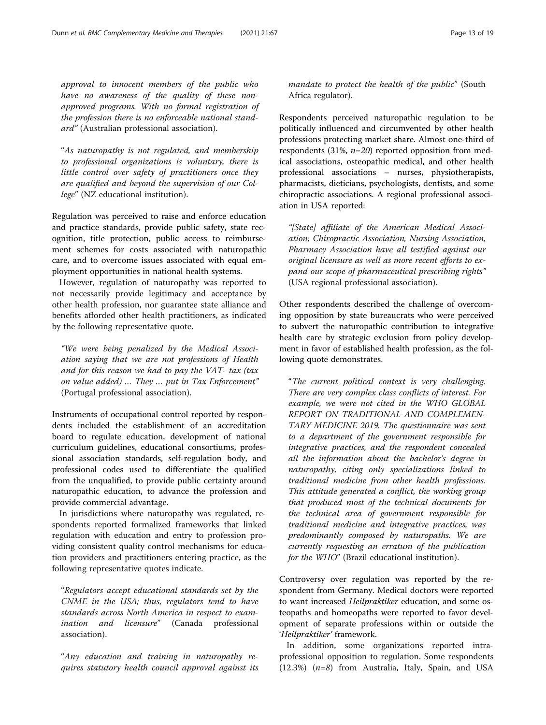approval to innocent members of the public who have no awareness of the quality of these nonapproved programs. With no formal registration of the profession there is no enforceable national standard" (Australian professional association).

"As naturopathy is not regulated, and membership to professional organizations is voluntary, there is little control over safety of practitioners once they are qualified and beyond the supervision of our College" (NZ educational institution).

Regulation was perceived to raise and enforce education and practice standards, provide public safety, state recognition, title protection, public access to reimbursement schemes for costs associated with naturopathic care, and to overcome issues associated with equal employment opportunities in national health systems.

However, regulation of naturopathy was reported to not necessarily provide legitimacy and acceptance by other health profession, nor guarantee state alliance and benefits afforded other health practitioners, as indicated by the following representative quote.

"We were being penalized by the Medical Association saying that we are not professions of Health and for this reason we had to pay the VAT- tax (tax on value added) … They … put in Tax Enforcement" (Portugal professional association).

Instruments of occupational control reported by respondents included the establishment of an accreditation board to regulate education, development of national curriculum guidelines, educational consortiums, professional association standards, self-regulation body, and professional codes used to differentiate the qualified from the unqualified, to provide public certainty around naturopathic education, to advance the profession and provide commercial advantage.

In jurisdictions where naturopathy was regulated, respondents reported formalized frameworks that linked regulation with education and entry to profession providing consistent quality control mechanisms for education providers and practitioners entering practice, as the following representative quotes indicate.

"Regulators accept educational standards set by the CNME in the USA; thus, regulators tend to have standards across North America in respect to examination and licensure" (Canada professional association).

"Any education and training in naturopathy requires statutory health council approval against its mandate to protect the health of the public" (South Africa regulator).

Respondents perceived naturopathic regulation to be politically influenced and circumvented by other health professions protecting market share. Almost one-third of respondents (31%,  $n=20$ ) reported opposition from medical associations, osteopathic medical, and other health professional associations – nurses, physiotherapists, pharmacists, dieticians, psychologists, dentists, and some chiropractic associations. A regional professional association in USA reported:

"[State] affiliate of the American Medical Association; Chiropractic Association, Nursing Association, Pharmacy Association have all testified against our original licensure as well as more recent efforts to expand our scope of pharmaceutical prescribing rights" (USA regional professional association).

Other respondents described the challenge of overcoming opposition by state bureaucrats who were perceived to subvert the naturopathic contribution to integrative health care by strategic exclusion from policy development in favor of established health profession, as the following quote demonstrates.

"The current political context is very challenging. There are very complex class conflicts of interest. For example, we were not cited in the WHO GLOBAL REPORT ON TRADITIONAL AND COMPLEMEN-TARY MEDICINE 2019. The questionnaire was sent to a department of the government responsible for integrative practices, and the respondent concealed all the information about the bachelor's degree in naturopathy, citing only specializations linked to traditional medicine from other health professions. This attitude generated a conflict, the working group that produced most of the technical documents for the technical area of government responsible for traditional medicine and integrative practices, was predominantly composed by naturopaths. We are currently requesting an erratum of the publication for the WHO" (Brazil educational institution).

Controversy over regulation was reported by the respondent from Germany. Medical doctors were reported to want increased Heilpraktiker education, and some osteopaths and homeopaths were reported to favor development of separate professions within or outside the 'Heilpraktiker' framework.

In addition, some organizations reported intraprofessional opposition to regulation. Some respondents  $(12.3\%)$   $(n=8)$  from Australia, Italy, Spain, and USA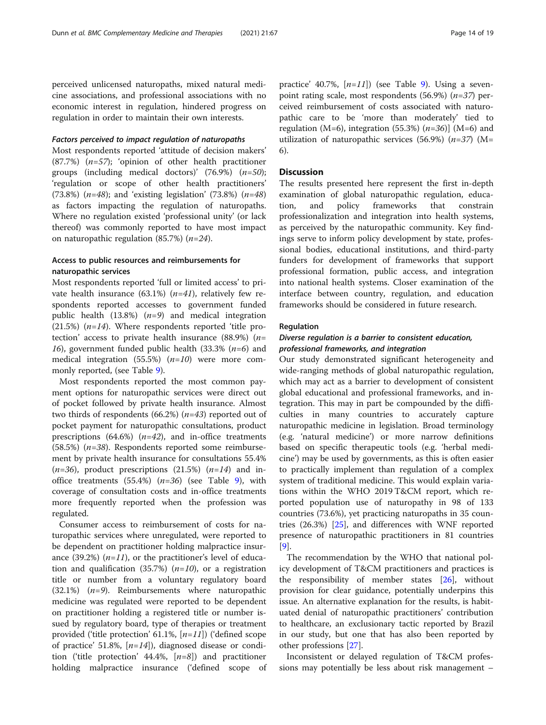perceived unlicensed naturopaths, mixed natural medicine associations, and professional associations with no economic interest in regulation, hindered progress on regulation in order to maintain their own interests.

#### Factors perceived to impact regulation of naturopaths

Most respondents reported 'attitude of decision makers'  $(87.7%)$   $(n=57)$ ; 'opinion of other health practitioner groups (including medical doctors)'  $(76.9\%)$   $(n=50)$ ; 'regulation or scope of other health practitioners' (73.8%) ( $n=48$ ); and 'existing legislation' (73.8%) ( $n=48$ ) as factors impacting the regulation of naturopaths. Where no regulation existed 'professional unity' (or lack thereof) was commonly reported to have most impact on naturopathic regulation (85.7%)  $(n=24)$ .

## Access to public resources and reimbursements for naturopathic services

Most respondents reported 'full or limited access' to private health insurance  $(63.1\%)$   $(n=41)$ , relatively few respondents reported accesses to government funded public health  $(13.8\%)$   $(n=9)$  and medical integration  $(21.5%)$  (*n=14*). Where respondents reported 'title protection' access to private health insurance  $(88.9%)$  (*n*= 16), government funded public health (33.3%  $(n=6)$  and medical integration  $(55.5%)$   $(n=10)$  were more commonly reported, (see Table [9\)](#page-14-0).

Most respondents reported the most common payment options for naturopathic services were direct out of pocket followed by private health insurance. Almost two thirds of respondents (66.2%)  $(n=43)$  reported out of pocket payment for naturopathic consultations, product prescriptions  $(64.6\%)$   $(n=42)$ , and in-office treatments (58.5%) ( $n=38$ ). Respondents reported some reimbursement by private health insurance for consultations 55.4%  $(n=36)$ , product prescriptions  $(21.5%)$   $(n=14)$  and inoffice treatments  $(55.4%)$   $(n=36)$  (see Table [9](#page-14-0)), with coverage of consultation costs and in-office treatments more frequently reported when the profession was regulated.

Consumer access to reimbursement of costs for naturopathic services where unregulated, were reported to be dependent on practitioner holding malpractice insurance (39.2%)  $(n=11)$ , or the practitioner's level of education and qualification (35.7%) ( $n=10$ ), or a registration title or number from a voluntary regulatory board (32.1%)  $(n=9)$ . Reimbursements where naturopathic medicine was regulated were reported to be dependent on practitioner holding a registered title or number issued by regulatory board, type of therapies or treatment provided ('title protection' 61.1%,  $[n=11]$ ) ('defined scope of practice' 51.8%,  $[n=14]$ ), diagnosed disease or condition ('title protection' 44.4%,  $[n=8]$ ) and practitioner holding malpractice insurance ('defined scope of

practice' 40.7%,  $[n=11]$ ) (see Table [9](#page-14-0)). Using a sevenpoint rating scale, most respondents  $(56.9%)$   $(n=37)$  perceived reimbursement of costs associated with naturopathic care to be 'more than moderately' tied to regulation (M=6), integration (55.3%)  $(n=36)$ ] (M=6) and utilization of naturopathic services (56.9%)  $(n=37)$  (M= 6).

#### **Discussion**

The results presented here represent the first in-depth examination of global naturopathic regulation, education, and policy frameworks that constrain professionalization and integration into health systems, as perceived by the naturopathic community. Key findings serve to inform policy development by state, professional bodies, educational institutions, and third-party funders for development of frameworks that support professional formation, public access, and integration into national health systems. Closer examination of the interface between country, regulation, and education frameworks should be considered in future research.

## Regulation

## Diverse regulation is a barrier to consistent education, professional frameworks, and integration

Our study demonstrated significant heterogeneity and wide-ranging methods of global naturopathic regulation, which may act as a barrier to development of consistent global educational and professional frameworks, and integration. This may in part be compounded by the difficulties in many countries to accurately capture naturopathic medicine in legislation. Broad terminology (e.g. 'natural medicine') or more narrow definitions based on specific therapeutic tools (e.g. 'herbal medicine') may be used by governments, as this is often easier to practically implement than regulation of a complex system of traditional medicine. This would explain variations within the WHO 2019 T&CM report, which reported population use of naturopathy in 98 of 133 countries (73.6%), yet practicing naturopaths in 35 countries (26.3%) [\[25\]](#page-18-0), and differences with WNF reported presence of naturopathic practitioners in 81 countries [[9\]](#page-18-0).

The recommendation by the WHO that national policy development of T&CM practitioners and practices is the responsibility of member states [\[26](#page-18-0)], without provision for clear guidance, potentially underpins this issue. An alternative explanation for the results, is habituated denial of naturopathic practitioners' contribution to healthcare, an exclusionary tactic reported by Brazil in our study, but one that has also been reported by other professions [\[27\]](#page-18-0).

Inconsistent or delayed regulation of T&CM professions may potentially be less about risk management –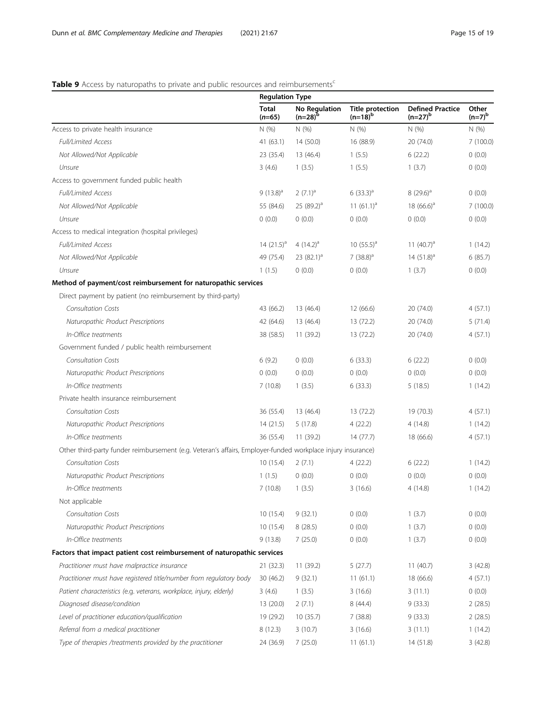## <span id="page-14-0"></span>Table 9 Access by naturopaths to private and public resources and reimbursements<sup>c</sup>

|                                                                                                             | <b>Regulation Type</b>   |                               |                                         |                                         |                    |
|-------------------------------------------------------------------------------------------------------------|--------------------------|-------------------------------|-----------------------------------------|-----------------------------------------|--------------------|
|                                                                                                             | <b>Total</b><br>$(n=65)$ | No Regulation<br>$(n=28)^{6}$ | <b>Title protection</b><br>$(n=18)^{b}$ | <b>Defined Practice</b><br>$(n=27)^{b}$ | Other<br>$(n=7)^b$ |
| Access to private health insurance                                                                          | N(% )                    | N (%)                         | N (%)                                   | N (%)                                   | N(%)               |
| Full/Limited Access                                                                                         | 41(63.1)                 | 14 (50.0)                     | 16 (88.9)                               | 20 (74.0)                               | 7(100.0)           |
| Not Allowed/Not Applicable                                                                                  | 23 (35.4)                | 13 (46.4)                     | 1(5.5)                                  | 6(22.2)                                 | 0(0.0)             |
| Unsure                                                                                                      | 3(4.6)                   | 1(3.5)                        | 1(5.5)                                  | 1(3.7)                                  | 0(0.0)             |
| Access to government funded public health                                                                   |                          |                               |                                         |                                         |                    |
| Full/Limited Access                                                                                         | $9(13.8)^a$              | $(7.1)^a$                     | $6(33.3)^a$                             | $8(29.6)^a$                             | 0(0.0)             |
| Not Allowed/Not Applicable                                                                                  | 55 (84.6)                | 25 $(89.2)^a$                 | 11 $(61.1)^a$                           | 18 $(66.6)^a$                           | 7(100.0)           |
| Unsure                                                                                                      | 0(0.0)                   | 0(0.0)                        | 0(0.0)                                  | 0(0.0)                                  | 0(0.0)             |
| Access to medical integration (hospital privileges)                                                         |                          |                               |                                         |                                         |                    |
| Full/Limited Access                                                                                         | 14 $(21.5)^a$            | 4 $(14.2)^{a}$                | 10 $(55.5)^a$                           | 11 $(40.7)^a$                           | 1(14.2)            |
| Not Allowed/Not Applicable                                                                                  | 49 (75.4)                | 23 $(82.1)^a$                 | $7(38.8)^a$                             | $14(51.8)^a$                            | 6(85.7)            |
| Unsure                                                                                                      | 1(1.5)                   | 0(0.0)                        | 0(0.0)                                  | 1(3.7)                                  | 0(0.0)             |
| Method of payment/cost reimbursement for naturopathic services                                              |                          |                               |                                         |                                         |                    |
| Direct payment by patient (no reimbursement by third-party)                                                 |                          |                               |                                         |                                         |                    |
| <b>Consultation Costs</b>                                                                                   | 43 (66.2)                | 13 (46.4)                     | 12(66.6)                                | 20 (74.0)                               | 4(57.1)            |
| Naturopathic Product Prescriptions                                                                          | 42 (64.6)                | 13 (46.4)                     | 13 (72.2)                               | 20 (74.0)                               | 5(71.4)            |
| In-Office treatments                                                                                        | 38 (58.5)                | 11 (39.2)                     | 13 (72.2)                               | 20 (74.0)                               | 4(57.1)            |
| Government funded / public health reimbursement                                                             |                          |                               |                                         |                                         |                    |
| <b>Consultation Costs</b>                                                                                   | 6(9.2)                   | 0(0.0)                        | 6(33.3)                                 | 6(22.2)                                 | 0(0.0)             |
| Naturopathic Product Prescriptions                                                                          | 0(0.0)                   | 0(0.0)                        | 0(0.0)                                  | 0(0.0)                                  | 0(0.0)             |
| In-Office treatments                                                                                        | 7(10.8)                  | 1(3.5)                        | 6(33.3)                                 | 5(18.5)                                 | 1(14.2)            |
| Private health insurance reimbursement                                                                      |                          |                               |                                         |                                         |                    |
| <b>Consultation Costs</b>                                                                                   | 36 (55.4)                | 13 (46.4)                     | 13 (72.2)                               | 19 (70.3)                               | 4(57.1)            |
| Naturopathic Product Prescriptions                                                                          | 14(21.5)                 | 5(17.8)                       | 4(22.2)                                 | 4(14.8)                                 | 1(14.2)            |
| In-Office treatments                                                                                        | 36 (55.4)                | 11(39.2)                      | 14(77.7)                                | 18 (66.6)                               | 4(57.1)            |
| Other third-party funder reimbursement (e.g. Veteran's affairs, Employer-funded workplace injury insurance) |                          |                               |                                         |                                         |                    |
| <b>Consultation Costs</b>                                                                                   | 10(15.4)                 | 2(7.1)                        | 4(22.2)                                 | 6(22.2)                                 | 1(14.2)            |
| Naturopathic Product Prescriptions                                                                          | 1(1.5)                   | 0(0.0)                        | 0(0.0)                                  | 0(0.0)                                  | (0.0)              |
| In-Office treatments                                                                                        | 7(10.8)                  | 1(3.5)                        | 3(16.6)                                 | 4(14.8)                                 | 1(14.2)            |
| Not applicable                                                                                              |                          |                               |                                         |                                         |                    |
| <b>Consultation Costs</b>                                                                                   | 10(15.4)                 | 9(32.1)                       | 0(0.0)                                  | 1(3.7)                                  | 0(0.0)             |
| Naturopathic Product Prescriptions                                                                          | 10(15.4)                 | 8(28.5)                       | 0(0.0)                                  | 1(3.7)                                  | 0(0.0)             |
| In-Office treatments                                                                                        | 9(13.8)                  | 7(25.0)                       | 0(0.0)                                  | 1(3.7)                                  | 0(0.0)             |
| Factors that impact patient cost reimbursement of naturopathic services                                     |                          |                               |                                         |                                         |                    |
| Practitioner must have malpractice insurance                                                                | 21(32.3)                 | 11 (39.2)                     | 5(27.7)                                 | 11(40.7)                                | 3(42.8)            |
| Practitioner must have registered title/number from regulatory body                                         | 30(46.2)                 | 9(32.1)                       | 11(61.1)                                | 18 (66.6)                               | 4(57.1)            |
| Patient characteristics (e.g. veterans, workplace, injury, elderly)                                         | 3(4.6)                   | 1(3.5)                        | 3(16.6)                                 | 3(11.1)                                 | (0.0)              |
| Diagnosed disease/condition                                                                                 | 13 (20.0)                | 2(7.1)                        | 8(44.4)                                 | 9(33.3)                                 | 2(28.5)            |
| Level of practitioner education/qualification                                                               | 19 (29.2)                | 10(35.7)                      | 7(38.8)                                 | 9(33.3)                                 | 2(28.5)            |
| Referral from a medical practitioner                                                                        | 8(12.3)                  | 3(10.7)                       | 3(16.6)                                 | 3(11.1)                                 | 1(14.2)            |
| Type of therapies /treatments provided by the practitioner                                                  | 24 (36.9)                | 7(25.0)                       | 11(61.1)                                | 14 (51.8)                               | 3(42.8)            |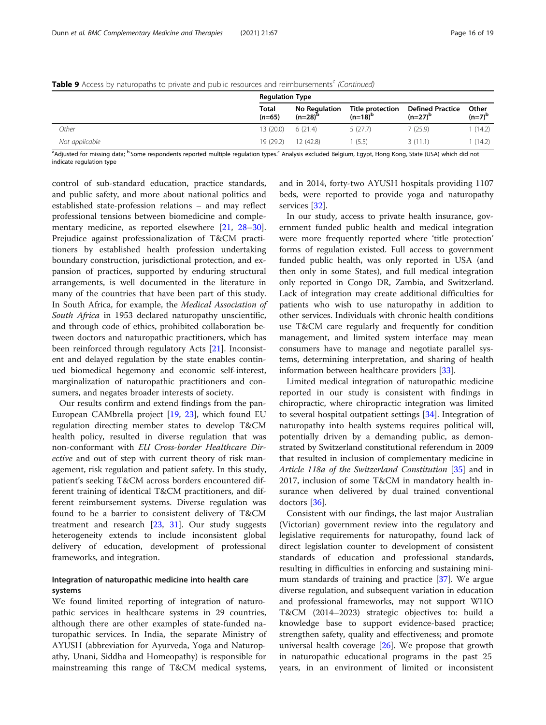|                | <b>Regulation Type</b>   |                               |                                  |                                         |                    |
|----------------|--------------------------|-------------------------------|----------------------------------|-----------------------------------------|--------------------|
|                | <b>Total</b><br>$(n=65)$ | No Regulation<br>$(n=28)^{p}$ | Title protection<br>$(n=18)^{b}$ | <b>Defined Practice</b><br>$(n=27)^{b}$ | Other<br>$(n=7)^b$ |
| Other          | $13(20.0)$ 6 (21.4)      |                               | 5(27.7)                          | 7 (25.9)                                | 1 (14.2)           |
| Not applicable | 19 (29.2)                | 12(42.8)                      | 1 (5.5)                          | 3(11.1)                                 | 1(14.2)            |

Table 9 Access by naturopaths to private and public resources and reimbursements<sup>c</sup> (Continued)

<sup>a</sup>Adjusted for missing data; <sup>b.</sup>Some respondents reported multiple regulation types.<sup>c</sup> Analysis excluded Belgium, Egypt, Hong Kong, State (USA) which did not indicate regulation type

control of sub-standard education, practice standards, and public safety, and more about national politics and established state-profession relations – and may reflect professional tensions between biomedicine and complementary medicine, as reported elsewhere [\[21](#page-18-0), [28](#page-18-0)–[30](#page-18-0)]. Prejudice against professionalization of T&CM practitioners by established health profession undertaking boundary construction, jurisdictional protection, and expansion of practices, supported by enduring structural arrangements, is well documented in the literature in many of the countries that have been part of this study. In South Africa, for example, the Medical Association of South Africa in 1953 declared naturopathy unscientific, and through code of ethics, prohibited collaboration between doctors and naturopathic practitioners, which has been reinforced through regulatory Acts [\[21](#page-18-0)]. Inconsistent and delayed regulation by the state enables continued biomedical hegemony and economic self-interest, marginalization of naturopathic practitioners and consumers, and negates broader interests of society.

Our results confirm and extend findings from the pan-European CAMbrella project [\[19](#page-18-0), [23](#page-18-0)], which found EU regulation directing member states to develop T&CM health policy, resulted in diverse regulation that was non-conformant with EU Cross-border Healthcare Directive and out of step with current theory of risk management, risk regulation and patient safety. In this study, patient's seeking T&CM across borders encountered different training of identical T&CM practitioners, and different reimbursement systems. Diverse regulation was found to be a barrier to consistent delivery of T&CM treatment and research [\[23,](#page-18-0) [31\]](#page-18-0). Our study suggests heterogeneity extends to include inconsistent global delivery of education, development of professional frameworks, and integration.

## Integration of naturopathic medicine into health care systems

We found limited reporting of integration of naturopathic services in healthcare systems in 29 countries, although there are other examples of state-funded naturopathic services. In India, the separate Ministry of AYUSH (abbreviation for Ayurveda, Yoga and Naturopathy, Unani, Siddha and Homeopathy) is responsible for mainstreaming this range of T&CM medical systems,

and in 2014, forty-two AYUSH hospitals providing 1107 beds, were reported to provide yoga and naturopathy services [\[32](#page-18-0)].

In our study, access to private health insurance, government funded public health and medical integration were more frequently reported where 'title protection' forms of regulation existed. Full access to government funded public health, was only reported in USA (and then only in some States), and full medical integration only reported in Congo DR, Zambia, and Switzerland. Lack of integration may create additional difficulties for patients who wish to use naturopathy in addition to other services. Individuals with chronic health conditions use T&CM care regularly and frequently for condition management, and limited system interface may mean consumers have to manage and negotiate parallel systems, determining interpretation, and sharing of health information between healthcare providers [\[33\]](#page-18-0).

Limited medical integration of naturopathic medicine reported in our study is consistent with findings in chiropractic, where chiropractic integration was limited to several hospital outpatient settings [\[34\]](#page-18-0). Integration of naturopathy into health systems requires political will, potentially driven by a demanding public, as demonstrated by Switzerland constitutional referendum in 2009 that resulted in inclusion of complementary medicine in Article 118a of the Switzerland Constitution [\[35\]](#page-18-0) and in 2017, inclusion of some T&CM in mandatory health insurance when delivered by dual trained conventional doctors [\[36](#page-18-0)].

Consistent with our findings, the last major Australian (Victorian) government review into the regulatory and legislative requirements for naturopathy, found lack of direct legislation counter to development of consistent standards of education and professional standards, resulting in difficulties in enforcing and sustaining minimum standards of training and practice [[37\]](#page-18-0). We argue diverse regulation, and subsequent variation in education and professional frameworks, may not support WHO T&CM (2014–2023) strategic objectives to: build a knowledge base to support evidence-based practice; strengthen safety, quality and effectiveness; and promote universal health coverage [[26](#page-18-0)]. We propose that growth in naturopathic educational programs in the past 25 years, in an environment of limited or inconsistent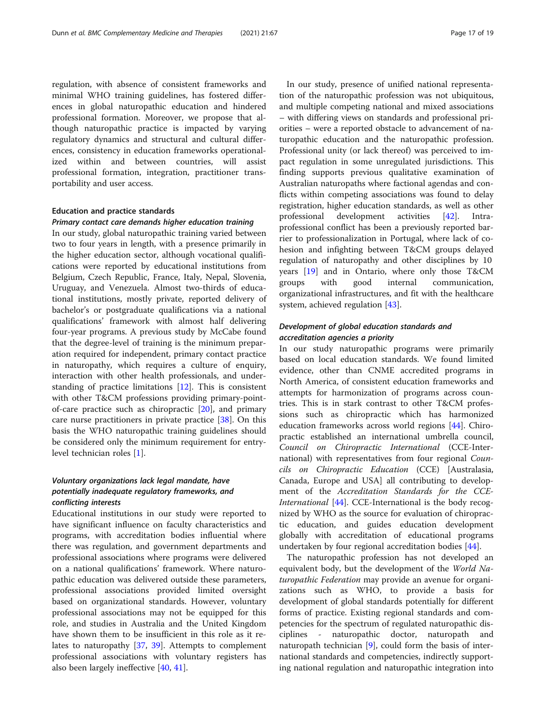regulation, with absence of consistent frameworks and minimal WHO training guidelines, has fostered differences in global naturopathic education and hindered professional formation. Moreover, we propose that although naturopathic practice is impacted by varying regulatory dynamics and structural and cultural differences, consistency in education frameworks operationalized within and between countries, will assist professional formation, integration, practitioner transportability and user access.

## Education and practice standards

#### Primary contact care demands higher education training

In our study, global naturopathic training varied between two to four years in length, with a presence primarily in the higher education sector, although vocational qualifications were reported by educational institutions from Belgium, Czech Republic, France, Italy, Nepal, Slovenia, Uruguay, and Venezuela. Almost two-thirds of educational institutions, mostly private, reported delivery of bachelor's or postgraduate qualifications via a national qualifications' framework with almost half delivering four-year programs. A previous study by McCabe found that the degree-level of training is the minimum preparation required for independent, primary contact practice in naturopathy, which requires a culture of enquiry, interaction with other health professionals, and understanding of practice limitations [\[12\]](#page-18-0). This is consistent with other T&CM professions providing primary-pointof-care practice such as chiropractic [\[20\]](#page-18-0), and primary care nurse practitioners in private practice [\[38](#page-18-0)]. On this basis the WHO naturopathic training guidelines should be considered only the minimum requirement for entrylevel technician roles [[1\]](#page-18-0).

## Voluntary organizations lack legal mandate, have potentially inadequate regulatory frameworks, and conflicting interests

Educational institutions in our study were reported to have significant influence on faculty characteristics and programs, with accreditation bodies influential where there was regulation, and government departments and professional associations where programs were delivered on a national qualifications' framework. Where naturopathic education was delivered outside these parameters, professional associations provided limited oversight based on organizational standards. However, voluntary professional associations may not be equipped for this role, and studies in Australia and the United Kingdom have shown them to be insufficient in this role as it relates to naturopathy [[37,](#page-18-0) [39](#page-18-0)]. Attempts to complement professional associations with voluntary registers has also been largely ineffective [[40,](#page-18-0) [41\]](#page-18-0).

In our study, presence of unified national representation of the naturopathic profession was not ubiquitous, and multiple competing national and mixed associations – with differing views on standards and professional priorities – were a reported obstacle to advancement of naturopathic education and the naturopathic profession. Professional unity (or lack thereof) was perceived to impact regulation in some unregulated jurisdictions. This finding supports previous qualitative examination of Australian naturopaths where factional agendas and conflicts within competing associations was found to delay registration, higher education standards, as well as other professional development activities [\[42\]](#page-18-0). Intraprofessional conflict has been a previously reported barrier to professionalization in Portugal, where lack of cohesion and infighting between T&CM groups delayed regulation of naturopathy and other disciplines by 10 years [\[19](#page-18-0)] and in Ontario, where only those T&CM groups with good internal communication, organizational infrastructures, and fit with the healthcare system, achieved regulation [\[43\]](#page-18-0).

## Development of global education standards and accreditation agencies a priority

In our study naturopathic programs were primarily based on local education standards. We found limited evidence, other than CNME accredited programs in North America, of consistent education frameworks and attempts for harmonization of programs across countries. This is in stark contrast to other T&CM professions such as chiropractic which has harmonized education frameworks across world regions [[44\]](#page-18-0). Chiropractic established an international umbrella council, Council on Chiropractic International (CCE-International) with representatives from four regional Councils on Chiropractic Education (CCE) [Australasia, Canada, Europe and USA] all contributing to development of the Accreditation Standards for the CCE-International [\[44](#page-18-0)]. CCE-International is the body recognized by WHO as the source for evaluation of chiropractic education, and guides education development globally with accreditation of educational programs undertaken by four regional accreditation bodies [\[44](#page-18-0)].

The naturopathic profession has not developed an equivalent body, but the development of the World Naturopathic Federation may provide an avenue for organizations such as WHO, to provide a basis for development of global standards potentially for different forms of practice. Existing regional standards and competencies for the spectrum of regulated naturopathic disciplines - naturopathic doctor, naturopath and naturopath technician [[9\]](#page-18-0), could form the basis of international standards and competencies, indirectly supporting national regulation and naturopathic integration into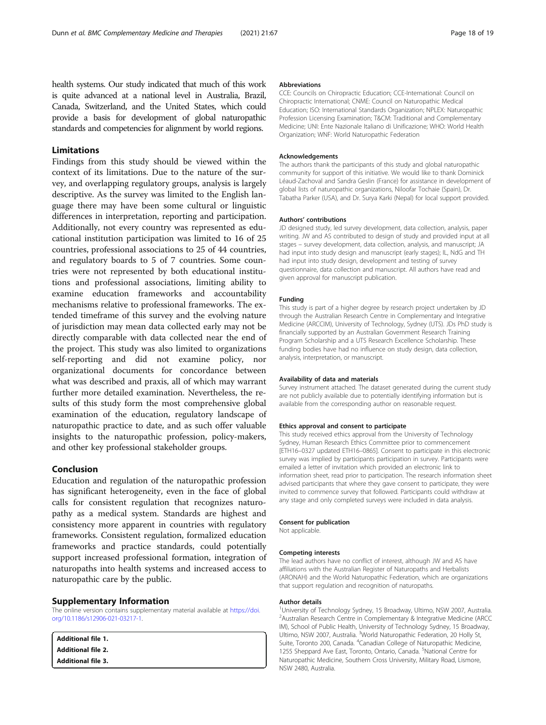<span id="page-17-0"></span>health systems. Our study indicated that much of this work is quite advanced at a national level in Australia, Brazil, Canada, Switzerland, and the United States, which could provide a basis for development of global naturopathic standards and competencies for alignment by world regions.

## Limitations

Findings from this study should be viewed within the context of its limitations. Due to the nature of the survey, and overlapping regulatory groups, analysis is largely descriptive. As the survey was limited to the English language there may have been some cultural or linguistic differences in interpretation, reporting and participation. Additionally, not every country was represented as educational institution participation was limited to 16 of 25 countries, professional associations to 25 of 44 countries, and regulatory boards to 5 of 7 countries. Some countries were not represented by both educational institutions and professional associations, limiting ability to examine education frameworks and accountability mechanisms relative to professional frameworks. The extended timeframe of this survey and the evolving nature of jurisdiction may mean data collected early may not be directly comparable with data collected near the end of the project. This study was also limited to organizations self-reporting and did not examine policy, nor organizational documents for concordance between what was described and praxis, all of which may warrant further more detailed examination. Nevertheless, the results of this study form the most comprehensive global examination of the education, regulatory landscape of naturopathic practice to date, and as such offer valuable insights to the naturopathic profession, policy-makers, and other key professional stakeholder groups.

## Conclusion

Education and regulation of the naturopathic profession has significant heterogeneity, even in the face of global calls for consistent regulation that recognizes naturopathy as a medical system. Standards are highest and consistency more apparent in countries with regulatory frameworks. Consistent regulation, formalized education frameworks and practice standards, could potentially support increased professional formation, integration of naturopaths into health systems and increased access to naturopathic care by the public.

#### Supplementary Information

The online version contains supplementary material available at [https://doi.](https://doi.org/10.1186/s12906-021-03217-1) [org/10.1186/s12906-021-03217-1.](https://doi.org/10.1186/s12906-021-03217-1)

| Additional file 1.      |  |  |
|-------------------------|--|--|
| $\,$ Additional file 2. |  |  |
| $\,$ Additional file 3. |  |  |

#### Abbreviations

CCE: Councils on Chiropractic Education; CCE-International: Council on Chiropractic International; CNME: Council on Naturopathic Medical Education; ISO: International Standards Organization; NPLEX: Naturopathic Profession Licensing Examination; T&CM: Traditional and Complementary Medicine; UNI: Ente Nazionale Italiano di Unificazione; WHO: World Health Organization; WNF: World Naturopathic Federation

#### Acknowledgements

The authors thank the participants of this study and global naturopathic community for support of this initiative. We would like to thank Dominick Léaud-Zachoval and Sandra Geslin (France) for assistance in development of global lists of naturopathic organizations, Niloofar Tochaie (Spain), Dr. Tabatha Parker (USA), and Dr. Surya Karki (Nepal) for local support provided.

#### Authors' contributions

JD designed study, led survey development, data collection, analysis, paper writing. JW and AS contributed to design of study and provided input at all stages – survey development, data collection, analysis, and manuscript; JA had input into study design and manuscript (early stages); IL, NdG and TH had input into study design, development and testing of survey questionnaire, data collection and manuscript. All authors have read and given approval for manuscript publication.

#### Funding

This study is part of a higher degree by research project undertaken by JD through the Australian Research Centre in Complementary and Integrative Medicine (ARCCIM), University of Technology, Sydney (UTS). JDs PhD study is financially supported by an Australian Government Research Training Program Scholarship and a UTS Research Excellence Scholarship. These funding bodies have had no influence on study design, data collection, analysis, interpretation, or manuscript.

#### Availability of data and materials

Survey instrument attached. The dataset generated during the current study are not publicly available due to potentially identifying information but is available from the corresponding author on reasonable request.

#### Ethics approval and consent to participate

This study received ethics approval from the University of Technology Sydney, Human Research Ethics Committee prior to commencement [ETH16–0327 updated ETH16–0865]. Consent to participate in this electronic survey was implied by participants participation in survey. Participants were emailed a letter of invitation which provided an electronic link to information sheet, read prior to participation. The research information sheet advised participants that where they gave consent to participate, they were invited to commence survey that followed. Participants could withdraw at any stage and only completed surveys were included in data analysis.

#### Consent for publication

Not applicable.

#### Competing interests

The lead authors have no conflict of interest, although JW and AS have affiliations with the Australian Register of Naturopaths and Herbalists (ARONAH) and the World Naturopathic Federation, which are organizations that support regulation and recognition of naturopaths.

#### Author details

<sup>1</sup>University of Technology Sydney, 15 Broadway, Ultimo, NSW 2007, Australia <sup>2</sup> Australian Research Centre in Complementary & Integrative Medicine (ARCC IM), School of Public Health, University of Technology Sydney, 15 Broadway, Ultimo, NSW 2007, Australia. <sup>3</sup>World Naturopathic Federation, 20 Holly St, Suite, Toronto 200, Canada. <sup>4</sup>Canadian College of Naturopathic Medicine, 1255 Sheppard Ave East, Toronto, Ontario, Canada. <sup>5</sup>National Centre for Naturopathic Medicine, Southern Cross University, Military Road, Lismore, NSW 2480, Australia.